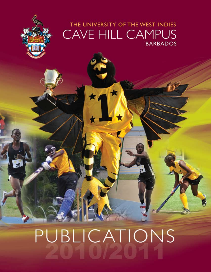## THE UNIVERSITY OF THE WEST INDIES CAVE HILL CAMPUS **BARBADOS**

# PUBLICATIONS

 $26$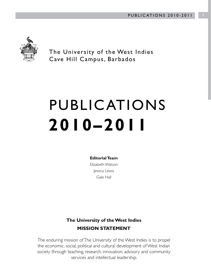

The University of the West Indies Cave Hill Campus, Barbados

## PUBLICATIONS **2010–2011**

**Editorial Team**

Elizabeth Watson Jessica Lewis Gale Hall

#### **The University of the West Indies MISSION STATEMENT**

The enduring mission of The University of the West Indies is to propel the economic, social, political and cultural development of West Indian society through teaching, research, innovation, advisory and community services and intellectual leadership.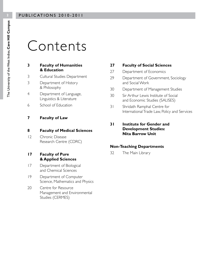## Contents

#### **3 Faculty of Humanities & Education**

- 3 Cultural Studies Department
- 3 Department of History & Philosophy
- 4 Department of Language, Linguistics & Literature
- 6 School of Education
- **7 Faculty of Law**

#### **8 Faculty of Medical Sciences**

- 12 Chronic Disease Research Centre (CDRC)
- **17 Faculty of Pure & Applied Sciences**
- 17 Department of Biological and Chemical Sciences
- 19 Department of Computer Science, Mathematics and Physics
- 20 Centre for Resource Management and Environmental Studies (CERMES)

#### **27 Faculty of Social Sciences**

- 27 Department of Economics
- 29 Department of Government, Sociology and Social Work
- 30 Department of Management Studies
- 30 Sir Arthur Lewis Institute of Social and Economic Studies (SALISES)
- 31 Shridath Ramphal Centre for International Trade Law, Policy and Services

#### **31 Institute for Gender and Development Studies: Nita Barrow Unit**

#### **Non-Teaching Departments**

32 The Main Library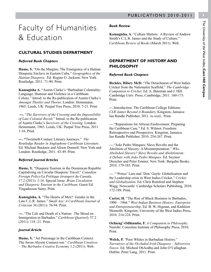# The University of the West Indies, Cave Hill Campus The University of the West Indies,

**Cave Hill Campus**

## Faculty of Humanities & Education

#### **CULTURAL STUDIES DEPARTMENT**

#### *Referred Book Chapters*

**Hume, Y.** "On the Margins: The Emergence of a Haitian Diasporic Enclave in Eastern Cuba." *Geographics of the Haitian Diaspora.* Ed. Regine O. Jackson. New York: Routledge, 2011. 71-90. Print.

**Kamugisha A.** "Austin Clarke's "Barbadian Coloniality: Language, Humour and Violence in a Caribbean Colony." Introd. to the Re-publication of Austin Clarke's *Amongst Thistles and Thorns.* London: Heinemann, 1965. Leeds, UK: Peepal Tree Press, 2010. 7-21. Print.

**---.** "*The Survivors of the Crossing and the Impossibility of Late Colonial Revolt.*" Introd. to the Re-publication of Austin Clarke's *Survivors of the Crossing*. London: Heinemann, 1965. Leeds, UK: Peepal Tree Press, 2011. 1-16. Print.

**---. "**Twentieth Century Literary Journeys." *The Routledge Reader in Anglophone Caribbean Literature.* Ed. Michael Bucknor and Alison Donnell. New York and London: Routledge, 2011. 43-49. Print.

#### *Referred Journal Articles*

**Hume, Y.** "Diaspora Tourism in the Dominican Republic Capitalizing on Circular Diasporic Travel." *Canadian Foreign Policy/La Politique ètrangeré du Canada*, 17.2 (2011): 1-16. Special Issue: *Brian Circulation and Diasporic Tourism in the Caribbean*. Guest Ed. Yiagadeesen Samy. Print.

**Kamugisha, A.** "The Hearts of Men? Gender in the Late C.L.R. James." *Small Axe: A Caribbean Journal of Criticism* 34 (2011): 76-94. Print.

**---.** "The Life and Death of a Nation: The Mood on Immigration in Barbados." *Caribbean Quarterly* 57 2 (2011): 118 -21. Print.

#### *Journal Article*

**Hume, Y.** "Art Patronage in the Caribbean Context: The Awon-Akyem Connect-ion." *Caribbean Creatives* – *The Barbados Creative Economy* 1.2 (2011). Web.

#### *Book Review*

**Kamugisha, A.** "Culture Matters: A Review of Andrew Smith's C.L.R. James and the Study of Culture." *Caribbean Review of Books* (March 2011). Web.

#### **DEPARTMENT OF HISTORY AND PHILOSOPHY**

#### *Referred Book Chapters*

**Beckles, Hilary McD.** "The Detachment of West Indies Cricket from the Nationalist Scaffold." *The Cambridge Companion to Cricket*. Ed. A. Bateman and J. Hill. Cambridge Univ. Press, Cambridge, 2011. 160-173. Print.

---.Introduction. The Caribbean College Editions: *CLR James Beyond A Boundary.* Kingston, Jamaica: Ian Randle Publisher, 2011. ix-xxiii. Print.

---."Reparations for African Enslavement: Preparing the Caribbean Case." Ed. S. Wilmot. Freedom: Retrospective and Prospective. Kingston, Jamaica: Ian Randle Publisher, 2010. 254-267. Print.

---."João Pedro Marques; Slave Revolts and the Abolition of Slavery: A Misinterpretation." *Who Abolished Slavery? Slave Revolts and Abolitionism: A Debate with João Pedro Marques.* Ed. Seymor Drescher and Peter Emmer. New York: Bergahn Books, 2010. 179-185. Print.

---. "'Prince' Lara and 'Don' Gayle: Globalization and the Leadership crisis in West Indies Cricket." *Cricket and Globalization.* Ed. Chris Rumford and Stephen Wagg. Newcastle: Cambridge Scholars Publishing, 2010. 172-189. Print.

**Carter, H.** "The Rise of Black Business in Barbados, 1900 – 1966." *West Indian Business History: Enterprise and Entrepreneurship*. Ed. B. W. Higman, and Kathleen Monteith. Kingston: University of the West Indies Press, 2010. 214-224. Print.

**Ochieng'-Odhiambo, F.** *A Companion to Philosophy*. Nairobi: Consolata Institute of Philosophy Press, 2010. Print.

**Welch, P.** "Poor Whites in Barbadian History." *Narratives of the Occluded Irish Diaspora – Subversive Voices.* Ed. Micheal OhAodha and John O'Callaghan. Dublin: Peter Lang, 2011. Print.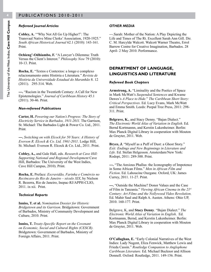#### *Refereed Journal Articles*

**Cobley, A.** '"Why Not All Go Up Higher?': The Transvaal Native Mine Clerks' Association, 1920-1925." *South African Historical Journal* 62.1 (2010): 143-161. Print.

**Ochieng'-Odhiambo, F.** "A Lawyer's Dilemma: Truth Versus the Client's Interest." *Philosophy Now* 79 (2010): 10-13. Print.

**Rocha, E.** "Textos e Contextos: a longo e complexo relacionamento entre História e Literatura." *Revista de História da Universidade Estadual do Maranhão* 8. 12 (2011). 295-314. Web.

**---.** "Racism in the Twentieth Century: A Call for New Epistemologies." *Journal of Caribbean History* 45.1 (2011). 30-46. Print.

#### *Non-refereed Publications*

**Carter, H.** *Powering our Nation's Progress: The Story of Electricity Service in Barbados, 1911-2011*. The Garrison, St. Michael: The Barbados Light & Power Co. Ltd., 2011. Print.

**---.** *Switching on with Elcock for 50 Years: A History of Everson R. Elcock & Co. Ltd, 1961-2011*. Lodge Hill, St. Michael: Everson R. Elcock & Co. Ltd., 2011. Print.

**Cobley, A.,** and Gale Hall, eds. *Research at Cave Hill: Supporting National and Regional Development* Cave Hill, Barbados: The University of the West Indies, Cave Hill Campus, 2010). Print.

**Rocha, E.** Preface: *Escravidão, Farinha e Comércio no Recôncavo do Rio de Janeiro – século XIX*, by Nielson R. Bezerra, Rio de Janeiro, Inepac-RJ/APPH-CLIO, 2011. ix-xii. Print.

#### *Technical Reports*

**Inniss, T. et al.** *Nomination Dossier for Historic Bridgetown and its Garrison*. Bridgetown: Government of Barbados, Ministry of Community Development and Culture, 2010. Print.

**Inniss, T.** *Treaty-Specific Report on the Covenant on Economic, Social and Cultural Rights (CESCR)*. Bridgetown: Government of Barbados, Ministry of Foreign Affairs, 2011. Print.

#### *OTHER MEDIA*

---.Sarah: Mother of the Nation: A Play Depicting the Life and Times of The Rt. Excellent Sarah Ann Gill. Dir. C. M. Harcylde Walcott. Walcott Warner Theatre, Errol Barrow Centre for Creative Imagination, Barbados. 28 April- 2 May 2010. Performance.

#### **DEPARTMENT OF LANGUAGE, LINGUISTICS AND LITERATURE**

#### *Refereed Book Chapters*

**Armstrong, A.** "Liminality and the Poetics of Space in Mark McWatt's *Suspended Sentences* and Kwame Dawes's *A Place to Hide.*" *The Caribbean Short Story: Critical Perspectives.* Ed. Lucy Evans, Mark McWatt and Emma Smith. Leeds: Peepal Tree Press, 2011: 298- 311. Print.

**Belgrave, K.**, and Stacy Denny. "Bajan Dialect." *The Electronic World Atlas of Variation in English*. Ed. Bernd Kortmannn, and Kerstin Lukenheimer. Berlin: Max Planck Digital Library in cooperation with Mouton de Gruyter, 2011. Web.

**Bryce, J.** "Myself as a Puff of Dust: a Ghost Story." *Exit: Endings and New Beginnings in Literature and Life.* Ed. Stefan Helgesson. Amsterdam/New York: Rodopi, 2011: 289-300. Print.

**---.** "The Anxious Phallus: the Iconography of Impotence in Some African Films." *Men in African Film and Fiction*. Ed. Lahoucine Ouzgane. Oxford, UK: James Currey, 2011. 11-27. Print.

**---.** "Outside the Machine? Donor Values and the Case of Film in Tanzania." *Viewing African Cinema in the 21st Century: Art Films and the Nollywood Video Revolution.*  Ed. Mahir Saul and Ralph A. Austen. Athens: Ohio UP, 2010. 160-177. Print.

Belgrave, K, and **Stacy Denny**. "Bajan Dialect." *The Electronic World Atlas of Variation in English*. Ed. Kortmannn, Bernd, and Kerstin Lukenheimer. Berlin: Max Planck Digital Library in cooperation with Mouton de Gruyter, 2011. Web.

**O'Callaghan, E.** "Early Colonial Narratives of the West Indies: Lady Nugent, Eliza Fenwick, Matthew Lewis and Frieda Cassin." *Routledge Companion to Anglophone Caribbean Literature.* Ed. Michael Bucknor and Allison Donnell. Oxford: Routledge, 2011. 149-156. Print.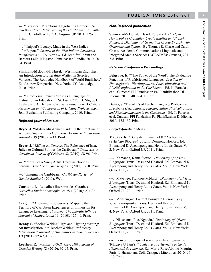**---.** "Caribbean Migrations: Negotiating Borders." *Sex and the Citizen: Interrogating the Caribbean.* Ed. Faith Smith. Charlottesville, VA: Virginia UP, 2011. 125-135. Print.

**---**. "Naipaul's Legacy: Made in the West Indies ‒ for Export." *Created in the West Indies: Caribbean Perspectives on V.S. Naipaul*. Ed. Jennifer Rahim and Barbara Lalla. Kingston, Jamaica: Ian Randle, 2010. 20- 34. Print.

**Simmons-McDonald, Hazel.** "West Indian Englishes: An Introduction to Literature Written in Selected Varieties. The Routledge Handbook of World Englishes." Ed. Andrew Kirkpatrick. New York, NY: Routledge, 2010. Print.

---. "Introducing French Creole as a Language of Instruction in Education in St. Lucia." Ed. B. Migge, I. Leglise and A. Bartens. *Creoles in Education: A Critical Assessment and Comparison of Existing Projects.* n.p.: John Benjamins Publishing Company, 2010. Print.

#### *Refereed Journal Articles*

**Bryce, J.** "Abdulkadir Ahmed Said: On the Frontline of African Cinema." *Black Camera: An International Film Journal* 2.19 (2010): 7-13. Print.

**Bryce, J.** "Riffing on *Omeros*: The Relevance of Isaac Julien to Cultural Politics the Caribbean." *Small Axe: A Caribbean Journal of Criticism* 32 (2010): 88-96. Print.

**---.** "Portrait of a Vincy Artist: Caroline "booops" Sardine." *Caribbean Quarterly* 57.1 (2011): 1-10. Print.

**---.** "Imaging the Caribbean." *Caribbean Review of Gender Studies* 5 (2011): Web.

**Constant, I.** "Actualités littéraires des Caraïbes." *Nouvelles Etudes Francophones* 25.1 (2010): 234-36. Print.

**Craig, I.** "Anonymous Sojourners: Mapping the Territory of Caribbean Experiences of Immersion for Language Learning." *Frontiers: The Interdisciplinary Journal of Study Abroad* 19 (2010): 125-49. Print.

**Denny, S.** "Seeing Writing Right and Righting Writing: An Investigation into Teacher Writing Proficiency." *International Journal of Humanities and Social Science*  1.3 (2011): 223-234. Print.

**Leyshon, R.** "Malika." *POUI: Cave Hill Journal of Creative Writing* XI (2010): 92-95. Print.

#### *Non-Refereed publication*

Simmons-McDonald, Hazel. Foreword. *Abridged Handbook of Grenadian Creole English and French Names: A Dictionary of Grenadian Creole English with Grammar and Syntax.* By Thomas R. Chase and Zarah Chase. Academic Communications Linguistic and Integrated Media Services (ACLAIMS): Grenada, 2011. 7-8. Print.

#### *Referred Conference Proceedings*

**Belgrave, K.** "'The Power of the Word': The Evaluative Functions of Prefabricated Language." *In a Sea of Heteroglossia: Plurilingualism, Pluriculturalism and Pluriidentification in the Caribbean.* Ed. N. Faraclas, et al. Curacao: FPI Fundashon Pa Planifikashon Di Idioma, 2010. 403 – 411. Print.

**Denny, S.** "The ABCs of Teacher Language Proficiency." *In a Sea of Heteroglossia: Plurilingualism, Pluriculturalism and Pluriidentification in the Caribbean.* Ed. N. Faraclas, et al. Curacao: FPI Fundashon Pa Planifikashon Di Idioma, 2010. 135-152. Print.

#### *Encyclopaedic Entries*

**Mabana, K.** "Dongala, Emmanuel B." *Dictionary of African Biography*. Trans. Desmond Hosford. Ed. Emmanuel K. Ayeampong and Henry Louis Gates. Vol. 2. New York: Oxford UP, 2011. Print.

**---.** "Kamanda, Kama Sywor." *Dictionary of African Biography*. Trans. Desmond Hosford. Ed. Emmanuel K. Ayeampong and Henry Louis Gates. Vol. 3. New York: Oxford UP, 2011. Print.

**---.** "Mayengo, François-Médard." *Dictionary of African Biography*. Trans. Desmond Hosford. Ed. Emmanuel K. Ayeampong and Henry Louis Gates. Vol. 4. New York: Oxford UP, 2011. Print.

**---.** "Monsengwo, Laurent Pasinya." *Dictionary of African Biography*. Trans. Desmond Hosford. Ed. Emmanuel K. Ayeampong and Henry Louis Gates. Vol. 4. New York: Oxford UP, 2011. Print.

**---.** "Nkashama, Pius Ngandu." *Dictionary of African Biography*. Trans. Desmond Hosford. Ed. Emmanuel K. Ayeampong and Henry Louis Gates. Vol. 4. New York: Oxford UP, 2011. Print.

---. "Pouvoir politique et sorcellerie dans l'œuvre de Tchicaya U Tam'si." *Tchicaya ou l'éternelle quête de l'humanité de l'homme*. Ed. Marie-Rose Abomo-Maurin. Paris: L'Harmattan, Coll. Critiques Littéraires, 2010: 99- 119. Print.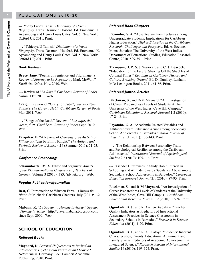**---.** "Sony Labou Tansi." *Dictionary of African Biography*. Trans. Desmond Hosford. Ed. Emmanuel K. Ayeampong and Henry Louis Gates. Vol. 5. New York: Oxford UP, 2011. Print.

**---.** "Tchicaya U Tam'si." *Dictionary of African Biography*. Trans. Desmond Hosford. Ed. Emmanuel K. Ayeampong and Henry Louis Gates. Vol. 5. New York: Oxford UP, 2011. Print.

#### *Book Reviews*

**Bryce, Jane.** "Poems of Penitence and Pilgrimage: a Review of *Journey to Le Repentir* by Mark McWatt." *Small Axe Salon*. Nov. 2010. Web.

**---.** Review of "*La Soga.*" *Caribbean Review of Books Online.* Oct. 2010. Web.

**Craig, I.** Review of "Crazy for Cuba", Gustavo Pérez Firmat's *The Havana Habit*. *Caribbean Review of Books*. Mar. 2011. Web.

**---.** "Songs of the Road." Review of *Los viajes del viento,* film. *Caribbean Review of Books* Sept. 2010. Web.

**Farquhar, B.** "A Review of *Growing up in All Saints Village, Antigua* by Emily Knight." *The Antigua and Barbuda Review of Books* 4.14 (Summer 2011): 71-73. Print.

#### *Conference Proceedings*

**Schaumloeffel, M. A.** Editor and organizer. *Annals of the XIV International Conference of Teachers of German*. Volume 3 (2010): 383. (idvnetz.org). Web.

#### *Popular Publications/Journalism*

**Best, C.** Introduction to Winston Farrell's *Bustin the Blues.* St Michael: Caribbean Chapters, July (2011): 1-2. Print.

**Mabana, K.** "*Le Sapeur. . . Homme invisible.*" *Sapeur. . . Homme invisible.*" http://clavermabana.blogspot.com/ since Sept. 2009. Web.

#### **SCHOOL OF EDUCATION**

#### *Refereed Books*

**Maynard, D.** *Learned Helplessness in Barbadian Adolescents: Psychosocial variables and Learned Helplessness.* Germany: LAP Lambert Academic Publishing, 2010. Print.

#### *Refereed Book Chapters*

**Fayombo, G. A.** "Absenteeism from Lectures among Undergraduate Students: Implications for Caribbean Higher Education." *Higher Education in the Caribbean: Research, Challenges and Prospects.* Ed. A. Ezenne. Mona, Jamaica: The University of the West Indies, Department of Educational Studies, Education Research Centre, 2010. 509-551. Print.

Thompson, B. P., S. J. Warrican, and **C. J. Leacock.**  "Education for the Future: Shaking Off the Shackles of Colonial Times." *Readings in Caribbean History and Culture: Breaking Ground*. Ed. D. Dunkley. Lanham, MD: Lexington Books, 2011. 61-86. Print.

#### *Refereed Journal Articles*

**Blackman, S.,** and D-M Maynard**.** "An Investigation of Career Preparedness Levels of Students at The University of the West Indies, Cave Hill Campus." *Caribbean Educational Research Journal* 1.2 (2010): 17-24. Print

**Fayombo, G. A.** "Academic Related Variables and Attitudes toward Substance Abuse among Secondary School Adolescents in Barbados." *World Journal of Education* 1.1 (2011): 136-143. Print.

**---.** "The Relationship Between Personality Traits and Psychological Resilience among the Caribbean Adolescents." *International Journal of Psychological Studies* 2.2 (2010): 105-116. Print.

**---.** "Gender Differences in Study Habit, Interest in Schooling and Attitude towards Substance Abuse among Secondary School Adolescents in Barbados." *Caribbean Education Research Journal* 2.1 (2010): 87-95*.* Print.

Blackman, S., and **D-M Maynard.** "An Investigation of Career Preparedness Levels of Students at the University of the West Indies, Cave Hill Campus." *Caribbean Educational Research Journal* 1.2 (2010): 17-24. Print

**Ogunkola, B. J.,** and R. Archer-Bradshaw. "Teacher Quality Indicators as Predictors of Instructional Assessment Practices in Science Classrooms in Secondary Schools in Barbados." *Research in Science Education* (2011): 1-29. Print.

**Ogunkola, B. J.,** and R. A. Olatoye. "Students' Inherent Characteristics, Parents' Educational Attainment and Family Size as Predictors of Academic Achievement in Integrated Science." *Research Journal of International Studies* 16 (2010): 119–124. Print.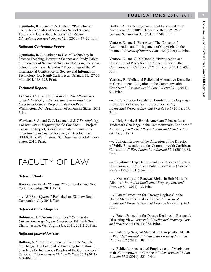**Ogunkola, B. J.,** and R. A. Olatoye. "Predictors of Computer Attitudes of Secondary School Science Teachers in Ogun State, Nigeria." *Caribbean Educational Research Journal* 2.1 (2010): 47–53. Print.

#### *Refereed Conference Papers*

**Ogunkola, B. J. "**Attitude to Use of Technology in Science Teaching, Interest in Science and Study Habits as Predictors of Science Achievement Among Secondary School Students in Barbados." Proceedings of the 2<sup>nd</sup> International Conference on Society and Information Technology. Ed. Nagib Callas, et al. Orlando, FL. 27-30 Mar. 2011**.** 188-193. Print.

#### *Technical Reports*

**Leacock, C. J.,** and S. J. Warrican. *The Effectiveness of the Education for Democratic Citizenship in the Caribbean Course*. Project Evaluation Report. Washington, DC: Organization of American States, 2011. Print.

Warrican, S. J., and **C. J. Leacock.** *S & T Foresighting and Innovation Mapping for the Caribbean."* Project Evaluation Report, Special Multilateral Fund of the Inter-American Council for Integral Development (FEMCIDI). Washington, DC: Organization of American States. 2010. Print.

### FACULTY OF LAW

#### *Referred Books*

**Kaczkorowska, A.** *EU Law*. 2nd ed. London and New York: Routledge, 2011. Print.

**---.** *"EU Law Update.*" Published on EU Law Book Companion. July 2011. Web.

#### *Refereed Book Chapters*

**Robinson, T.** "Our imagined lives." *Sex and the Citizen: Interrogating the Caribbean.* Ed. Faith Smith. Charlottesville, VA: Virginia UP, 2011. 201-213. Print.

#### *Refereed Journal Articles*

**Bulkan, A.** "From Instrument of Empire to Vehicle for Change: The Potential of Emerging International Standards for Indigenous Peoples of the Commonwealth Caribbean." *Commonwealth Law Bulletin* 37.3 (2011): 463-489. Print.

**Bulkan, A.** "Protecting Traditional Lands under the Amerindian Act 2006: Rhetoric or Reality?" *New Guyana Bar Review* 3.1 (2011): 77-89*.* Print.

Ventose, E., and **J. Forrester.** "The Concept of Authorization and Infringement of Copyright on the Internet." *Journal of Internet Law* 14.6 (2010): 3. Print.

Ventose, E., and **G. McDonald.** "Privatization and Constitutional Protection for Public Officers in the Commonwealth Caribbean." *Public Law* 3 (2011): 498. Print.

**Ventose, E.** "Collateral Relief and Alternative Remedies in Constitutional Litigation in the Commonwealth Caribbean." *Commonwealth Law Bulletin* 37.1 (2011): 91. Print.

**---.** "ECJ Rules on Legislative Limitations on Copyright Protection for Designs in Europe." *Journal of Intellectual Property Law and Practice* 6.6 (2011): 367. Print.

**---.** "Holy Smokes! British American Tobacco Loses Trademark Challenge in the Commonwealth Caribbean." *Journal of Intellectual Property Law and Practice* 6.2 (2011): 75. Print.

**---.** "Judicial Review of the Discretion of the Director of Public Prosecutions under Commonwealth Caribbean Constitution." *West Indian Law Journal* 35.1 (2010): 81. Print.

**---.**"Legitimate Expectations and Due Process of Law in Commonwealth Caribbean Public Law." *Law Quarterly Review* 127.3 (2011): 34. Print.

 **---.** "Ownership and Renewal Rights in Bob Marley's Albums." *Journal of Intellectual Property Law and Practice* 6.1 (2011): 15. Print.

**---.** "Patent Protection for 'Dosage Regimes' in the United States after Bilski v Kappos." *Journal of Intellectual Property Law and Practice* 6.7 (2011): 423. Print.

**---.** "Patent Protection for Dosage Regimes in Europe: A Dissenting View." *Journal of Intellectual Property Law and Practice* 6.4 (2011): 238. Print.

**---.** "Patenting Surgical Methods in Europe after MEDI-PHYSICS." *Journal of Intellectual Property Law and Practice* 6.2 (2011): 108. Print.

**---.** "Public Law Aspects of Employment of Magistrates in the Commonwealth Caribbean." *Commonwealth Law Bulletin* 37.3 (2011): 521. Print.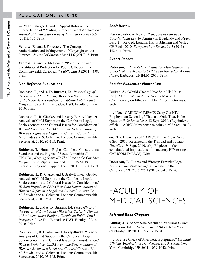**---.** "The Enlarged Board of Appeal Rules on the Interpretation of "Pending European Patent Application." *Journal of Intellectual Property Law and Practice* 5.6 (2011): 137. Print.

**Ventose, E.,** and J. Forrester**.** "The Concept of Authorization and Infringement of Copyright on the Internet." *Journal of Internet Law* 14.6 (2010): 3. Print.

**Ventose, E.,** and G. McDonald**.** "Privatization and Constitutional Protection for Public Officers in the Commonwealth Caribbean." *Public Law* 3 (2011): 498. Print.

#### *Non-Refereed Publications*

Robinson, T., and **A. D. Burgess**, Ed. *Proceedings of the Faculty of Law Faculty Workshop Series in Honour of Professor Albert Fiadjoe: Caribbean Public Law's Prospects.* Cave Hill, Barbados: UWI, Faculty of Law, 2010. Print.

Robinson, T., **R. Clarke,** and J. Sealy-Burke**.** "Gender Analysis of Child Support in the Caribbean: Legal, Socio-economic and Cultural Issues for Consideration." *Without Prejudice: CEDAW and the Determination of Women's Rights in a Legal and Cultural Context.* Ed. M. Shivdas and S. Coleman. London: Commonwealth Secretariat, 2010. 95-105. Print.

**Robinson, T.** "Human Rights: Caribbean Constitutional Standards and the Rights of Sexual Minorities." UNAIDS, *Keeping Score III: The Voice of the Caribbean People.* Port-of-Spain, Trin. and Tob.: UNAIDS Caribbean Regional Support Team, 2011. 113-14. Print.

**Robinson, T.,** R. Clarke, and J. Sealy-Burke**.** "Gender Analysis of Child Support in the Caribbean: Legal, Socio-economic and Cultural Issues for Consideration." *Without Prejudice: CEDAW and the Determination of Women's Rights in a Legal and Cultural Context.* Ed. M. Shivdas and S. Coleman. London: Commonwealth Secretariat, 2010. 95-105. Print.

**Robinson, T.,** and A. D. Burgess, Ed. *Proceedings of the Faculty of Law Faculty Workshop Series in Honour of Professor Albert Fiadjoe: Caribbean Public Law's Prospects.* Cave Hill, Barbados: UWI, Faculty of Law, 2010. Print.

Robinson, T., R. Clarke, and **J. Sealy-Burke.** "Gender Analysis of Child Support in the Caribbean: Legal, Socio-economic and Cultural Issues for Consideration." *Without Prejudice: CEDAW and the Determination of Women's Rights in a Legal and Cultural Context.* Ed. M. Shivdas and S. Coleman. London: Commonwealth Secretariat, 2010. 95-105. Print.

#### *Book Review*

**Kaczarowska, A.** Rev. of *Principles of European Constitutional Law* by Armin von Bogdandy and Jürgen Bast. 2<sup>nd</sup>. Rev. ed. London: Hart Publishing and Verlag CH Beck, 2010. *European Law Review* 36.3 (2011): 442-444. Print.

#### *Expert Report*

**Robinson, T.** *Law Reform Related to Maintenance and Custody of and Access to Children in Barbados: A Policy Paper*. Barbados: UNIFEM, 2010. Print.

#### *Popular Publications/Journalism*

**Bulkan, A. "**Would Cheddi Have Sold His House for \$120 million?" *Stabroek News* 7 Mar. 2011. (Commentary on Ethics in Public Office in Guyana). Web.

**---. "**Does CARICOM IMPACS Carry Out HIV Employment Screening? That, and Only That, Is the Question.**"** *Stabroek News* 13 Sept. 2010. (Rejoinder to official CARICOM response to column of 6 Sept. 2010). Web.

**---.** "The Hypocrisy of CARICOM." *Stabroek News* 6 Sept. 2010. Reprinted in the Trinidad and Tobago *Guardian* 19. Sept. 2010. (Op. Ed piece on the constitutional implications of mandatory HIV testing at CARICOM IMPACS). Web.

**Robinson, T.** "Rights and Wrongs: Feminist Legal Activism and Violence against Women in the Caribbean." *Balliol's Rib* 1 (2010): 8-10. Print.

## FACULTY OF MEDICAL SCIENCES

#### *Refereed Book Chapters*

**Kumar, A. Y.**"Anesthesia Machine." *Essential Clinical Anesthesia*. Ed. C. Vacanti, and P. Sikka. New York: Cambridge UP, 2011. 129-137. Print.

**---**. "Pre-use Check of Anesthetic Equipment." *Essential Clinical Anesthesia*. Ed.C. Vacanti, and P. Sikka. New York: Cambridge UP, 2011. 1039-1042. Print.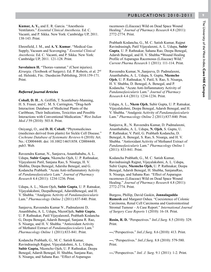**Kumar, A. Y.,** and E. R. Garcia. "Anesthesia Ventilators." *Essential Clinical Anesthesia*. Ed. C. Vacanti, and P. Sikka. New York: Cambridge UP, 2011. 138-143. Print.

Ehrenfield, J. M., and **A. Y. Kumar**. "Medical Gas Supply, Vacuum and Scavenging." *Essential Clinical Anesthesia.* Ed. C. Vacanti, and P. Sikka. New York: Cambridge UP, 2011. 121-128. Print.

Savolainen H. "Thorax-vammat." (Chest injuries). *Kirurgia.* (Textbook of Surgery). Ed. P. Roberts, et al. 2nd ed. Helsinki, Fin.: Duodecim Publishing, 2010.159-171. Print.

#### *Referred Journal Articles*

**Cohall, D. H**., A. Griffith, T. Scantlebury-Manning, H. S. Fraser, and C. M. S. Carrington**.** "Drug-herb Interaction: Database of Medicinal Plants of the Caribbean, Their Indications, Toxicities and Possible Interactions with Conventional Medication." *West Indian Med J* 59 (2010): 503-8. Print.

Oniyangi, O., and **D. H. Cohall.** "Phytomedicines (medicines derived from plants) for Sickle Cell Disease." *Cochrane Database of Systematic Reviews* 6 (2010): Art. No.: CD004448. doi: 10.1002/14651858. CD004448. pub3. Web.

Raveendra Kumar, N., Sanjeeva, Ananthababu, A. L. Udupa, **Subir Gupta**, Nkemcho Ojeh, U. P. Rathnakar, Vijayalaxmi Patil, Sanjana Rao, S. Nisarga, H. V. Shubha, Deepa Benegal, Adarsha Benegal, and G. Kodancha Prabhath. "Acute Anti-inflammatory Activity of *Pandanusfasicularis* Lam*.*" *Journal of Pharmacy Research* 4.4 (2011): 1234-1236. Print.

Udupa, A. L., Nkem Ojeh, **Subir Gupta**, U. P. Ratnakar, Vijayalakshmi, DeepaBenegal, AdarshBenegal, and H. V. Shubha. "Analgesic Activity of *Pandanusfasicularis* Lam." *Pharmacology Online* 2 (2011):837-840. Print.

Sanjeeva, Raveendra Kumar N , Padmalaxmi D, Ananthbabu, A. L. Udupa**,** NkemOjeh, **Subir Gupta**, U. P. Rathnakar, Patil Vijayalaxmil, Prabhath Kodancha G, Deepa Benegal, Adarsh Benegal, Sanjana R. Rao, S. Nisarga, and H. V. Shubha. "Antioxidant Activity of Methanol Extract of *Pandanusfascicularis* Lam*.*" *Pharmacology Online* 1 (2011):833-841. Print.

Kodancha Prabhath, G., M. C. Satish Kumar, Ravindrasingh Rajput, Vijayalakshmi, A. L. Udupa, **Subir Gupta,** Nkemcho Ojeh, U. P. Rathnakar, Deepa Benegal, Adarsh Benegal, H. Shubha, Sanjana Rao, S. Nisarga, and Sahana Rao. "Effect of Asparagus

racemoses (Liliaceae) Wild on Dead Space Wound Healing." *Journal of Pharmacy Research* 4.8 (2011): 2772-2774. Print.

Prabhath Kodancha, G., M. C. Satish Kumar, Rajput Ravindrasingh, Patil Vijayalaxmi, A. L. Udupa, **Subir Gupta**, U. P. Rathnakar, Sahana Rao, Deepa Benegal, Adarsh Benegal, and H. V. Shubha.**"**Wound Healing Profile of Asparagus Racemosus (Liliaceae) Wild." *Current Pharma Research* 1 (2011): 111-114. Print.

Raveendra Kumar, N.,Sanjeeva, D. Padmalaxmi, Ananthababu, A. L. Udupa, S. Gupta, **Nkemcho Ojeh**, U. P. Rathnakar, V. Patil, S. Rao, S. Nisarga, H. V. Shubha, D. Benegal, A. Benegal, and P. Kodancha. "Acute Anti-Inflammatory Activity of *Pandanusfasicularis* Lam." *Journal of Pharmacy Research* 4.4 (2011): 1234-1236. Print.

Udupa, A. L., **Nkem Ojeh**, Subir Gupta, U. P. Ratnakar, Vijayalakshmi, Deepa Benegal, Adarsh Benegal, and H. V. Shubha. "Analgesic Activity of *Pandanusfasicularis* Lam." *Pharmacology Online* 2 (2011):837-840. Print.

Sanjeeva, R., N. Raveendra Kumar, D. Padmalaxmi, Ananthababu, A. L. Udupa, **N. Ojeh**, S. Gupta, U. P. Rathnakar, V. Patil, G. Prabhath Kodancha, D. Benegal, A. Benegal, S. Rao, S. Nisarga, and H. V. Shubha. "Antioxidant Activity of Methanol Extract of *Pandanusfasicularis* Lam." *Pharmacology Online* 1 (2011): 833-841. Print.

Kodancha Prabhath, G., M. C. Satish Kumar, Ravindrasingh Rajput, Vijayalakshmi, A. L. Udupa, Subir Gupta, **Nkemcho Ojeh,** U. P. Rathnakar, Deepa Benegal, Adarsh Benegal, H. Shubha, SanjanaRao, S. Nisarga, and Sahana Rao. "Effect of Asparagus racemoses (Liliaceae) Wild on Dead Space Wound Healing." *Journal of Pharmacy Research* 4.8 (2011): 2772-2774. Print.

Burgess, Phillip, David Gaskin, **Jonnalagadda Ramesh** and Margaret Oshea. "Coexistence of Colonic Carcinoma, Renal Cell Carcinoma and Gastrointestinal Stromal Tumour ‒ A Case Report." *International Journal of Surgery Case Reports* 1 (2010): 16-18. Print.

**Rosin, R. D.** "Perspectives." *Intl.J.Surg.* 8.5 (2010): 329. Print.

**---.**"Perspectives." *Intl.J.Surg*. 8.6 (2010): 413. Print.

**---.** "Perspectives." *Intl.J.Surg*. 8.8 (2010): 579-580. Print.

**---.**"Perspectives." *Intl. J. Surg*. 9.1 (2011): 1-2. Print.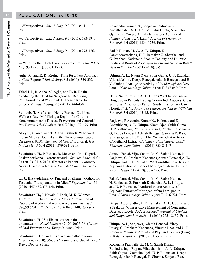**---.**"Perspectives." *Intl. J. Surg.* 9.2 (2011): 111-112. Print.

**---.**"Perspectives." *Intl. J. Surg.* 9.3 (2011): 193-194. Print.

**---.**"Perspectives." *Intl. J. Surg*. 9.4 (2011): 275-276. Print.

**---.**"Turning the Clock Back Forwards." *Bulletin, R.C.S. Eng.* 93.1 (2011): 30-31. Print.

Agha, R., and **R. D. Rosin**. "Time for a New Approach to Case Reports." *Intl. J. Surg*. 8.5 (2010): 330-332. Print.

Talati J. J., R. Agha, M. Agha, and **R. D. Rosin**. "Reducing the Need for Surgeons by Reducing Pollution-derived Workload: Is There a Role for Surgeons?" *Intl. J. Surg*. 9.6 (2011): 444-450. Print.

**Samuels, T. Alafia**, and Henry Fraser. "Caribbean Wellness Day: Mobilizing a Region for Chronic Noncommunicable Disease Prevention and Control." *Rev Panam Salud Publica* 28.6 (2010): 472-479. Print.

Alleyne, George, and **T. Alafia Samuels**. "The West Indian Medical Journal and the Non-communicable Diseases (NCD): The Next 60 Years." Editorial. *West Indian Med J* 60.4 (2011): 379-381. Print.

**Savolainen, H.**, P. Berdat, B. Meier, and M. "Kupari. Laakaripotilaana – koronaaritauti." *Suomen Laakarilehti*  23 (2010): 2118-2123. (Doctor as Patient – Coronary Artery Disease. A Review. *Finnish Medical Journal*.) Print.

Li, J., **H.Savolainen,** Q. Tan, and S. Zheng. "Orthotopic Testicular Transplantation in Mice." *Reproduction* 139 (2010):447-452. (IF 3.4). Print.

**Savolainen H.,** J. Novak, F. Dick, M. K. Widmer, T. Carrel, J. Schmidli, and B. Meier. "Prevention of Rupture of Abdominal Aortic Aneurysm." *Scand J Surg*99 (2010): 217-220.(IF 0.8/ 84 of 140, "Surgery"). Print.

**Savolainen, H**. "Suullisten tenttien paluu – toivottavasti!" *Nuori Laakari* 47 (2010):35-36. (Return of Oral Examinations. *Young Doctor*.) Print.

**Savolainen, H**. "Koulutusta ja ajankayttoa." *Nuori Laakari* 47 (2010): 36-37. ("Training and Use of Time." *Young Doctor*.) Print.

Raveendra Kumar, N., Sanjeeva, Padmalaxmi, Ananthababu, **A. L. Udupa,** Subir Gupta, Nkemcho Ojeh, et al. "Acute Anti-Inflammatory Activity of *Pandanusfasicularis* Lam." *Journal of Pharmacy Research* 4.4 (2011):1234-1236. Print.

Satish Kumar, M. C., **A. L. Udupa**, K. Sammodavardhana, U. P. Ratnakar U. Shvetha, and G. Prabhath Kodancha. "Acute Toxicity and Diuretic Studies of Roots of Asparagus racemosus Willd in Rats." *West Indian Med J* 59.1 (2010): 3-5. Print.

**Udupa, A. L.,** Nkem Ojeh, Subir Gupta, U. P. Ratnakar, Vijayalakshmi, Deepa Benegal, Adarsh Benegal, and H. V. Shubha. "Analgesic Activity of *Pandanusfasicularis* Lam." *Pharmacology Online* 2 (2011):837-840. Print.

Datta, Supratim, and **A. L. Udupa**."Antihypertensive Drug Use in Patients Having Co-morbid Diabetes: Cross Sectional Prescription Pattern Study in a Tertiary Care Hospital." *Asian Journal of Pharmaceutical and Clinical Research* 3.4 (2010):43-45. Print.

Sanjeeva, Raveendra Kumar N., Padmalaxmi D, Ananthbabu, **A. L. Udupa,** Nkem Ojeh, Subir Gupta, U. P. Rathnakar, Patil Vijayalaxmil, Prabhath Kodancha G, Deepa Benegal, Adarsh Benegal, Sanjana R. Rao, S. Nisarga, and H. V. Shubha. "Antioxidant Activity of Methanol Extract of *Pandanusfascicularis* Lam*.*" *Pharmacology Online* 1 (2011):833-841. Print.

Jameel, Fahad, Vijayalaxmi, M. C. Satish Kumar, N. Sanjeeva, G. Prabhath Kodancha,Adrash Benegal,**A. L. Udupa**, and U. P. Ratnakar. "Antiurolithiatic Activity of Aqueous Extract of Bark of Moringaoleifera (Lam) in Rats." *Health* 2.4 (2010): 352-355. Print.

Fahad, Jameel, Vijayalaxmi, M. C. Satisk Kumar, N. Sanjeeva, G. Prabhath Kodancha, **A. L. Udupa**, and U. P. Ratnakar. "Antiurolithiatic Activity of Aqueous Extract of Moringaoleifera Lam. pod in Rats."*Pharmacology Online* 3 (2010): 716-721. Print.

Bappal A., S. Sudhir, U. P. Ratnakar, **A. L. Udupa,** and S.Prakash. "Conservative Management of Congenital Dacryocystocele: A Case Report." *Journal of Clinical and Diagnostic Research* 4.3 (2010):2531-2532. Print.

**Udupa, A. L**, Sanjeeva, Adarsh Benegal, Vinay Prusty, G. Prabhath Kodancha, Vinutha Bhat, and U. P. Ratnakar. "Diuretic Activity of Phyllanthusniruri (Linn) in Rats." *Health* 2.5 (2010): 511-512. Print.

Kodancha Prabhath, G., M. C. Satish Kumar, Ravindrasingh Rajput, Vijayalakshmi, A. L. **Udupa,**  Subir Gupta, Nkemcho Ojeh, U. P. Rathnakar, Deepa Benegal, Adarsh Benegal, H. Shubha, Sanjana Rao,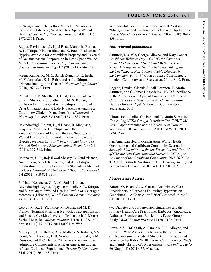S. Nisarga, and Sahana Rao. "Effect of Asparagus racemoses (Liliaceae) Wild on Dead Space Wound Healing." *Journal of Pharmacy Research* 4.8 (2011): 2772-2774. Print.

Rajput, Ravindrasingh, Ujjal Bose, Manjusha Barma, **A. L. Udupa**, Vinutha Bhat, and N. Rao. "Evaluation of Hyptissuaveolens for Antioxidant Property and Reversal of Dexamethasone Suppression in Dead Space Wound Model." *International Journal of Pharmaceutical Science and Biotechnology* 1.3 (2010):141-144. Print.

Meena Kumari K, M. C. Satish Kumar, B. R. Eesha, M. V. Amberkar, K. L. Bairy, and **A. L. Udupa**. "Nanotechnology and Cancer." *Pharmacology Online* 2 (2010):267-276. Print.

Ratnakar, U. P., Sheethal D. Ullal, Shruthi Sadanand, Shishir Mishra, S. S. Sudhanshu, M. S. Kotian, Sudhakar Pemminati,and **A. L. Udupa**. "Profile of Drug Utilization among Elderly Patients Attending a Cardiology Clinic in Mangalore, India." *Journal of Pharmacy Research* 3.8 (2010):1835-1837. Print.

Ravindrasingh, Rajput, Ujjal Boase, B. Manjusha, Sanjeeva Reddy, **A. L. Udupa,** and Bhat Vinutha."Reversal of Dexamethasone Suppressed Wound Healing with Ethanolic Extract of Leaves of Hyptissuaveolens (L) Poit." *International journal of Applied Biology and Pharmaceutical Technology* 2.1 (2011): 307-312. Print.

Rathnakar, U. P., Rajeshwari Shastry, B. Unnikrishnan, Ananth Rao, Ashok K. Shenoy, and **A. L**.**Udupa.**  "Utilization of Library Services by Students in Medical Colleges." *Journal of Clinical and Diagnostic Research* 5.4 (2011): 818-821. Print.

Prabhath Kodancha, G., M. C. Satish Kumar, Ravindrasingh Rajput, Vijayalaxmi Patil, **A. L. Udupa**, and Subir Gupta. "Wound Healing Profile of Asparagus racemosus (Liliaceae) Wild." *Current Pharma Research 1* (2011):111-114. Print.

Georgi, M. K., **J. Vigilance,** M. Dewar, and M. D. Frame. "Terminal Arteriolar Network Structure⁄Function and Plasma Cytokine Levels in db⁄db and ob⁄ob Mouse Skeletal Muscle." *Microcirculation* 18(2011): 238-251. doi:10.1111/j.1549-719.2011.00084. x. Web.

Murray, T., T. H. Beatty, R. A. Mathias, N. Rafaels, A.V. Grant, M.U. Faruque, **H.R. Watson**, I. Ruczinski, G.M. Dunston, and K.C. Barnes. "African and non-African Admixture Components in African Americans and an African Caribbean Population." *Genetic Epidemiology*  34.6 (2010): 561-568. Print.

Williams-Johnson, J., E. Williams, and **H. Watson**. "Management and Treatment of Pelvic and Hip Injuries." *Emerg Med Clinics of North America* 28.4 (2010): 841- 859. Print.

#### *Non-refereed publications*

**Samuels**,**T. Alafia,** George Alleyne, and Katy Cooper. *Caribbean Wellness Day – CARICOM Countries' Annual Celebration of Health and Wellness, Used to Spark Longer-term Healthy Behavior. Taking up the Challenge of Non-Communicable Diseases in the Commonwealth: 17 Good-Practice Case Studies*. London: Commonwealth Secretariat, 2011.48-49. Print.

Legetic, Branka, Glennis Andall-Brereton, **T. Alafia Samuels**, and C. James Hospedales. "NCD Surveillance in the Americas with Special Emphasis on Caribbean: Current Status and Way Forward." *Commonwealth Health Ministers Update*. London: Commonwealth Secretariat, 2011.

Kirton, John, Jenilee Guebert, and **T. Alafia Samuels.**  *Controlling NCDs through Summitry: The CARICOM Case*. Paper presented at the University of Toronto. Washington DC and Geneva: PAHO and WHO, 2011. 1-34. Print.

Pan American Health Organisation, World Health Organisation and Caribbean Community Secretariat. *Strategic Plan of Action for the Prevention and Control of Chronic Non-Communicable Diseases (NCDs) for Countries of the Caribbean Community, 2011-2015*. Ed. **T. Alafia Samuels.** Washington DC, Geneva, Switz., and Georgetown Guyana: PAHO, WHO, CARICOM, 2011. Print.

#### *Abstracts and Posters*

**Adams O. P.**, and A. O. Carter. "Are Primary Care Practitioners in Barbados Following Hypertension Guidelines? – A Chart Audit." *BMC Research Notes* 3 (2010): 316. Print.

**---.**"Diabetes and Hypertension Guidelines and the Primary Health Care Practitioner Barbados: Knowledge, Attitudes, Practices and Barriers – A Focus Group Study." *BMC Family Practice* 11 **(**2010):96. Print.

Lowe, A.S., **D.Cohall,** A. Samuels, R. L. Alleyne, and J.Edghill. "The Association between the Prevalence of Hypertension in Medical Students in Barbados and Waist-To-Hip Ratio (WHR), Waist Circumference (WC) and Family History of Hypertension." *West Indian Med J* 60 (Suppl. 2) (2011): 37. Abstract.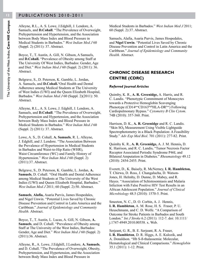Alleyne, R.L., A. S. Lowe, J.Edghill, J. Lendore, A. Samuels, and **D.Cohall**. "The Prevalence of Overweight, Prehypertension and Hypertension, and the Association between Body Mass Index and Blood Pressure in Medical Students in Barbados." *West Indian Med J* 60 (Suppl. 2) (2011): 37. Abstract.

Boyce, T., T. Austin, A. Gill, N. Gibson, A Samuels, and **D.Cohall.** "Prevalence of Obesity among Staff at The University Of West Indies, Barbados: Gender, Age and Diet." *West Indian Med J* 60 (Suppl. 2) (2011): 36. Abstract.

Belgrave, S., D. Peterson, K. Gamble, L. Jordan, A. Samuels, and **D.Cohall.**"Oral Health and Dental Adherence among Medical Students at The University of West Indies (UWI) and the Queen Elizabeth Hospital, Barbados." *West Indian Med J* 60 (Suppl. 2)(2011): 50. Abstract.

Alleyne, R.L., A. S. Lowe, J. Edghill, J. Lendore, A. Samuels, and **D.Cohall**. "The Prevalence of Overweight, Prehypertension and Hypertension, and the Association between Body Mass Index and Blood Pressure in Medical Students in Barbados." *West Indian Med J* 60 (Suppl. 2) (2011): 37. Abstract.

Lowe, A. S., D. Cohall, **A. Samuels**, R. L. Alleyne, J. Edghill, and J. Lendore. "The Association Between the Prevalence of Hypertension in Medical Students in Barbados and Waist-to-Hip Ratio (WHR), Waist Circumference (WC) and Family History of Hypertension." *West Indian Med J* 60 (Suppl. 2) (2011):37. Abstract.

Belgrave, S., D. Peterson, K. Gamble, L. Jordan, **A. Samuels**, D. Cohall. "Oral Health and Dental Adherence among Medical Students at The University of the West Indies (UWI) and Queen Elizabeth Hospital, Barbados." *West Indian Med J* 2011; 60 (Suppl. 2):50. Abstract.

**Samuels**, **Alafia,** Asaria Purvis, James Hospedales, and Nigel Unwin. "Potential Lives Saved by Chronic Disease Prevention and Control in Latin America and the Caribbean." *Journal of Epidemiology and Community Health.* Abstract.

Boyce, T., T. Austin, L. Lucas, A. Gill, N. Gibson, **A. Samuels**, and D. Cohall. "Prevalence of Obesity among Staff at The University of the West Indies, Barbados: Gender, Age and Diet." *West Indian Med J* 60 (Suppl. 2) (2011):36. Abstract.

Alleyne, R., A. Lowe, J.Edghill, J.Lendore, **A. Samuels**, and D. Cohall. "The Prevalence of Overweight, Obesity, Prehypertension, and Hypertension, and the Association between Body Mass Index and Blood Pressure in

Medical Students in Barbados." *West Indian Med J* 2011; 60 (Suppl. 2):37. Abstract.

Samuels, Alafia, Asaria Purvis, James Hospedales, and **Nigel Unwin**. "Potential Lives Saved by Chronic Disease Prevention and Control in Latin America and the Caribbean." *Journal of Epidemiology and Community Health.* Abstract.

#### **CHRONIC DISEASE RESEARCH CENTRE (CDRC)**

#### *Referred Journal Articles*

Quimby, K. R., **A. R. Greenidge,** A. Harris, and R. C. Landis. "Phenotypic Commitment of Monocytes towards a Protective Hemoglobin Scavenging Phenotype  $(CD14^{pos}CD163^{high}HLA-DR^{low})$  Following Cardiopulmonary Bypass." *Cytometry B Clin Cytom*. 74B (2010): 357-360. Print.

Harrison, D. K., **A. R. Greenidge** and R. C. Landis. "Skin SO**2** Measurement Using Visible Lightguide Spectrophotometry in a Black Population: A Feasibility Study." *Adv Exp Med Biol*. 701 (2011): 277-82. Print.

Quimby K. R., **A. R. Greenidge,** A. J. M. Hennis**,** D. K. Harrison, and R. C. Landis**.** "Tumor Necrosis Factor Receptor Associated Periodic Syndrome P46L and Bilateral Amputation in Diabetes." *Rheumatology* 49.12 (2010): 2454-2455. Print.

Everett, D., K. Baisely, R. McNerney, **I. R. Hambleton,**  T. Chirwa, D. Ross, J. Changalucha, D. Watson-Jones, H. Helmby, D. Dunne, D. Mabey, and R. Hayes. "Association of Schistosomiasis and Malaria Infection with False Positive HIV Test Results in an African Adolescent Population." *Journal of Clinical Microbiology* 48.5 (2010): 1570-5. Print.

Smeeton, N. C., D. O. Corbin, A. J. Hennis, **I. R. Hambleton**, A. M. Rose, H. S. Fraser, P. U. Heuschmann, and C. D. Wolfe. "A Comparison of Outcome for Stroke Patients in Barbados and South London." *Int J Stroke* 6.2 (2011): 112-7. doi: 10.1111/ j.1747-4949.2010.00558. x. Web.

Serjeant, G. R., B. E. Serjeant, R. A. Fraser, **I. R. Hambleton**, D. R. Higgs, A. E. Kulozik, and A. Donaldson. "Hb S-ß-thalassemia: Molecular, Hematological and Clinical Comparisons." *Hemoglobin* 35.1 (2011): 1-12. Print.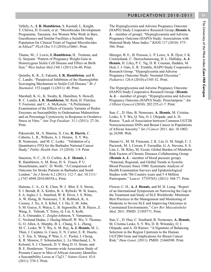The University of the West Indies, Cave Hill Campus The University of the West Indies, **Cave Hill Campus**

Vallely, A., **I. R. Hambleton**, S. Kasindi, L. Knight, T. Chirwa, D. Everett, et al. "Microbicides Development Programme, Tanzania: Are Women Who Work in Bars, Guesthouses and Similar Facilities a Suitable Study Population for Clinical Trials of Vaginal Microbicides in Africa?" *PLoS One* 5.5 (2010):e10661. Print.

Thame, M., J. Lewis, **I. Hambleton,** H. Trotman, and G. Serjeant. "Pattern of Pregnancy Weight Gain in Homozygous Sickle Cell Disease and Effect on Birth Size." *West Indian Med J* 60.1 (2011):36-40. Print.

Quimby, K. R., E. Fakunle, **I. R. Hambleton**, and R. C. Landis. "Paradoxical Inhibition of the Haemoglobin Scavenging Mechanism in Sickle Cell Disease." *Br J Haematol*. 153 (suppl 1) (2011): 40. Print.

Marshall, K. G., K. Swaby, K. Hamilton, S. Howell, R. C. Landis, **I. R**. **Hambleton**, M. Reid, H. Fletcher, T. Forrester, and C. A. McKenzie. "A Preliminary Examination of the Effects of Genetic Variants of Redox Enzymes on Susceptibility to Oedematous Malnutrition and on Percentage Cytotoxicity in Response to Oxidative Stress in Vitro." *Ann Trop Paediatr*. 31.1 (2011): 27-36. Print.

Pakseresht, M., S. Sharma, X. Cao, **R. Harris**, C. Caberto, L. R., Wilkens, A. J. Hennis, S. Y. Wu, B. Nemesure, and M. C. Leske. "Validation of a Quantitative FFQ for the Barbados National Cancer Study." *Public Health Nutr.* 15 (2010): 1-9. Print.

Smeeton, N. C., D. O. Corbin, **A. J**. **Hennis,** I. R. Hambleton, A. M. Rose, H. S. Fraser, P. U. Heuschmann, and C. D. Wolfe. "A Comparison of Outcome for Stroke Patients in Barbados and South London." *Int J Stroke* 6.2 (2011): 112-7. doi: 10.1111/ j.1747-4949.2010.00558.x. Print.

Haiman, C. A., G. K. Chen, W. J. Blot, S. S. Strom, S. I. Berndt, R. A. Kittles, B. A. Rybicki. W. B. Isaacs, S. A. Ingles J. L. Stanford, W. R. Diver, J. S. Witte, A. W. Hsing, B. Nemesure, T. R. Rebbeck, K. A. Cooney, J. Xu, A. S. Kibel, J. J. Hu, E. M. John, S. M. Gueye, S. Watya, L. B. Signorello, R. B. Hayes, Z. Wang, E. Yeboah, Y. Tettey, Q. Cai, S. Kolb, E. A. Ostrander, C. Zeigler-Johnson, Y. Yamamura, C. Neslund-Dudas, J. Haslag-Minoff, W. Wu, V. Thomas, G. O. Allen, A. Murphy, B. L. Chang, S. L. Zheng, M. C. Leske, W. Y. Wu, A. M. Ray, **A. J. Hennis,** M. J., Thun, J. Carpten, G. Casey, E. N. Carter, E. R. Duarte, L. Y. Xia, X. Sheng, P. Wan, L. C. Pooler, I. Cheng, K. R. Monroe, F. Schumacher, L. Le Marchand, L. N. Kolonel, S. J. Chanock, D. V. Berg D. O. Stram, and B. E. Henderson. "Genome-wide Association Study of Prostate Cancer in Men of African Ancestry Identifies a Susceptibility Locus at 17q21." *Nature Genet*. 43.6 (2011): 570-3. Print.

The Hyperglycemia and Adverse Pregnancy Outcome (HAPO) Study Cooperative Research Group (**Hennis A. J.** – member of group). "Hyperglycaemia and Adverse Pregnancy Outcome (HAPO) Study: Associations with Maternal Body Mass Index." *BJOG* 117 (2010): 575– 584. Print.

Metzger, B. E., B. Persson, L. P. Lowe, A. R. Dyer, J. K. Cruickshank, C. Deerochanawong, H. L. Halliday, **A. J. Hennis**, H. Liley, P. C. Ng, D. R. Coustan, Hadden, M. Hod, J. J. Oats, E. R. Trimble, HAPO Study Cooperative Research Group. "Hyperglycemia and Adverse Pregnancy Outcome Study: Neonatal Glycemia." *Pediatrics* 126.6 (2010):e1545-52. Print.

The Hyperglycemia and Adverse Pregnancy Outcome (HAPO) Study Cooperative Research Group. (**Hennis A. J.** – member of group). "Hyperglycemia and Adverse Pregnancy Outcome (HAPO) Study: Preeclampsia." *Am J Obstet Gynecol* (2010): 202:255.e1-7. Print.

Sun, C., D. Huo, B. Nemesure, **A. Hennis**, M. Cristina Leske, S. Y. Wu, Q. Niu, O. I. Olopade, and A. D. Rienzo. "Lack of Association between Common UGT2B Nonsynonymous SNPs and Breast Cancer in Populations of African Ancestry." *Int J Cancer* 2011. doi: 10.1002/ ijc.26300. Web.

Danaei G., M. M. Finucane, J. K. Lin, G. M. Singh, C. J. Paciorek, M. J, Cowan, F. Farzadfar, G. A. Stevens, S. S. Lim, L. M. Riley, M. Ezzati, Global Burden of Metabolic Risk Factors of Chronic Diseases Collaborating Group (**Hennis A. J.** - member of blood pressure group). "National, Regional, and Global Trends in Systolic Blood Pressure Since 1980: Systematic Analysis of Health Examination Surveys and Epidemiological Studies with 786 Country-years and 5·4 Million Participants." *Lancet* 377(9765): (2011): 568-77. Print.

Flower, C. H., **A. J**. **Hennis**, and M. H. Liang. "Report of an International Symposium on Narrowing the Gap in the Treatment and Study of SLE Worldwide: Minimum Best Practices in the Management and Monitoring of Moderate to Severe SLE and Improving Outcomes in Constrained Environments." *Curr Rev Musculoskelet Med*. 2011. PMID: 21505771. Print.

Sun, C., D. Huo, C. Southard, B. Nemesure, **A. Hennis**, M. Cristina Leske, S. Y. Wu, D. B. Witonsky, O. I. Olopade, and A. Di Rienzo. "A Signature of Balancing Selection in the Region Upstream to the Human UGT2B4 Gene and Implications for Breast Cancer Risk." *Hum Genet*. (2011). PMID: 21660508. Print.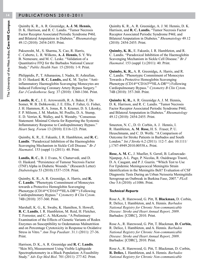Quimby K. R., A. R. Greenidge, **A. J. M. Hennis,**  D. K. Harrison, and R. C. Landis. "Tumor Necrosis Factor Receptor Associated Periodic Syndrome P46L and Bilateral Amputation in Diabetes." *Rheumatology* 49.12 (2010): 2454-2455. Print.

Pakseresht, M., S. Sharma, X. Cao, R. Harris, C. Caberto, L. R. Wilkens, **A. J. Hennis,** S. Y. Wu B. Nemesure, and M. C. Leske. "Validation of a Quantitative FFQ for the Barbados National Cancer Study." *Public Health Nutr.* 15 (2010): 1-9. Print.

Philippidis, P., T. Athanasiou, I. Nadra, H. Ashrafian, D. O. Haskard. **R. C. Landis,** and K. M. Taylor. "Antiinflammatory Haemoglobin Scavenging Monocytes are Induced Following Coronary Artery Bypass Surgery." *Eur J Cardiothorac Surg.* 37 (2010): 1360-1366. Print.

**Landis, R. C.**, J. E. Arrowsmith, R. A. Baker, F. De Somer, W. B. Dobkowski, J. E. Ellis, F. Falter, G. Fisher, J. H. Hammon, R. A. Jonas, R. S. Kramer, D. S. Likosky, F. P. Milsom, J. M. Murkin, M. Poullis, D. A. Stump, E. D. Verrier, K. Walley, and S. Westaby. "Consensus Statement: Minimal Criteria for Reporting the Systemic Inflammatory Response to Cardiopulmonary Bypass." *Heart Surg. Forum* 13 (2010): E116-123. Print.

Quimby, K. R., E. Fakunle, I. R. Hambleton, and **R. C. Landis**. "Paradoxical Inhibition of the Haemoglobin Scavenging Mechanism in Sickle Cell Disease." *Br J Haematol*. 153 (suppl 1) (2011): 40. Print.

**Landis, R. C.**, B. J. Evans, N. Chaturvedi, and D. O. Haskard. "Persistence of Tumour Necrosis Factor (TNF) Alpha in Diabetic Wounds." (Research Letter) *Diabetologia* 53 (2010):1537-1538. Print.

Quimby, K. R., A. R. Greenidge, A. Harris, and **R. C. Landis**. "Phenotypic Commitment of Monocytes towards a Protective Hemoglobin Scavenging Phenotype (CD14posCD163highHLA-DRlow) Following Cardiopulmonary Bypass." *Cytometry B Clin Cytom*. 74B (2010): 357-360. Print.

Marshall, K. G., K. Swaby, K. Hamilton, S. Howell, **R. C. Landis**, I. R. Hambleton, M. Reid, H. Fletcher, T. Forrester, and C. A. McKenzie. "A Preliminary Examination of the Effects of Genetic Variants of Redox Enzymes on Susceptibility to Oedematous Malnutrition and on Percentage Cytotoxicity in Response to Oxidative Stress in Vitro." *Ann Trop Paediatr*. 31.1 (2011): 27-36. Print.

Harrison, D. K., A. R. Greenidge and **R. C. Landis**. "Skin SO**2** Measurement Using Visible Lightguide Spectrophotometry in a Black Population: A Feasibility Study." *Adv Exp Med Biol*. 701 (2011): 277-82. Print.

Quimby K. R., A. R. Greenidge, A. J. M. Hennis, D. K. Harrison, and **R. C. Landis.** "Tumor Necrosis Factor Receptor Associated Periodic Syndrome P46L and Bilateral Amputation in Diabetes." *Rheumatology* 49.12 (2010): 2454-2455. Print.

**Quimby, K. R.**, E. Fakunle, I. R. Hambleton, and R. C. Landis. "Paradoxical Inhibition of the Haemoglobin Scavenging Mechanism in Sickle Cell Disease." *Br J Haematol*. 153 (suppl 1) (2011): 40. Print.

**Quimby, K. R.,** A. R. Greenidge**,** A. Harris, and R. C. Landis. "Phenotypic Commitment of Monocytes Towards a Protective Hemoglobin Scavenging Phenotype (CD14posCD163highHLA-DRlow) Following Cardiopulmonary Bypass." *Cytometry B Clin Cytom*. 74B (2010): 357-360. Print.

**Quimby K. R.,** A. R. Greenidge A. J. M. Hennis**,**  D. K. Harrison, and R. C. Landis. "Tumor Necrosis Factor Receptor Associated Periodic Syndrome P46L and Bilateral Amputation in Diabetes." *Rheumatology* 49.12 (2010): 2454-2455. Print.

Smeeton, N. C., D. O. Corbin, A. J. Hennis, I. R. Hambleton, **A. M**. **Rose,** H. S. Fraser, P. U. Heuschmann, and C. D. Wolfe. "A Comparison of Outcome for Stroke Patients in Barbados and South London." *Int J Stroke* 6.2 (2011): 112-7. doi: 10.1111/ j.1747-4949.2010.00558.x. Print.

**Rose, A. M. C.**, J. Mueller, S. Gerstl, B. Lafourcade-Njanpop, A-L. Page, P. Nicolas, R. Ouédraogo Traoré, D. A. Caugant, and P. J. Guerin. "Which Test to Use For Epidemic Meningococcal Meningitis Strain Identification in the Meningitis Belt? Evaluation of CSF Diagnostic Tests During an Urban Neisseria Meningitidis Serogroup an Outbreak in Burkina Faso, 2007." *PLoS One* 5.6 (2010): e11086. Print.

#### *Technical Reports*

Rose A., R. Harewood, G. Pitt, **T. Blackman,** D. Corbin, R. Delice, I. Hambleton, and A. Hennis. *Barbados National Registry for Chronic Non-communicable Disease: Stroke and Heart Annual Report, 2009*. Barbados: [CDRC], 2010. Print.

Rose A., R. Harewood, G. Pitt, T. Blackman, **D. Corbin,**  R. Delice, I. Hambleton, and A. Hennis. *Barbados National Registry for Chronic Non-communicable Disease: Stroke and Heart Annual Report, 2009*. Barbados: [CDRC], 2010. Print.

Rose A., R. Harewood, G. Pitt, T. Blackman, D. Corbin, **R. Delice,** I. Hambleton, and A. Hennis. *Barbados National Registry for Chronic Non-communicable*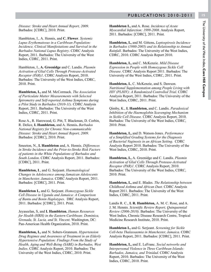*Disease: Stroke and Heart Annual Report, 2009*. Barbados: [CDRC], 2010. Print.

Hambleton, I., A. Hennis, and **C. Flower**. *Systemic Lupus Erythematosus in a Caribbean Population: Incidence, Clinical Manifestations and Survival in the Barbados National Lupus Registry*. CDRC Analysis Report, 2011. Barbados: The University of the West Indies, CDRC, 2011. Print.

Hambleton, I., **A. Greenidge** and C. Landis. *Plasmin Activation of Glial Cells Through Protease-Activated Receptor (PAR)1*. CDRC Analysis Report, 2010. Barbados: The University of the West Indies, CDRC, 2010. Print.

**Hambleton, I.,** and M. McCormack. *The Association of Particulate Matter Measurements with Selected Spirometry and Self-reported Asthma Symptoms during a Pilot Study in Barbados (2010-11).* CDRC Analysis Report, 2011. Barbados: The University of the West Indies, CDRC, 2011. Print.

Rose A., R. Harewood, G. Pitt, T. Blackman, D. Corbin, R. Delice, **I. Hambleton,** and A. Hennis**.** *Barbados National Registry for Chronic Non-communicable Disease: Stroke and Heart Annual Report, 2009*. Barbados: [CDRC], 2010. Print.

Smeeton, N., **I. Hambleton** and, A. Hennis. *Differences in Stroke Incidence and the Prior-to-Stroke Risk Factors of patients in the White Populations of Barbados and South London*. CDRC Analysis Report, 2011. Barbados: [CDRC], 2011. Print.

**Hambleton, I**., and G. Serjeant. *Haematological Changes in Adolescence among Jamaican Adolescents in Manchester, Jamaica*. CDRC Analysis Report, 2011. Barbados: [CDRC], 2011. Print.

**Hambleton I.,** and G. Serjeant. *Homozygous Sickle Cell Disease in Uganda and Jamaica: A Comparison of Bantu and Benin Haplotypes*. DRC Analysis Report, 2011. Barbados: [CDRC], 2011. Print.

Jeyaseelan, S, and **I. Hambleton.** *Human Resources for Health (HRH) in the Eastern Caribbean: Dominica, Grenada, St. Lucia, and St. Vincent*. Washington, DC: Pan-American Health Organization, 2010. Print.

**Hambleton, I.,** and N. Sobers-Grannum*. Hypertension Drug Regimes and Awareness of Treatment in an Elderly Hypertensive Population: Findings From the Study of Health, Aging and Well-Being (SABE) in Barbados, West Indies*. CDRC Analysis Report, 2010. Barbados: The University of the West Indies, CDRC, 2010. Print.

**Hambleton I.,** and A. Rose. *Incidence of Acute Myocardial Infarction: 1999-2008*. Analysis Report, 2011. Barbados: [CDRC], 2011. Print.

**Hambleton, I.,** and M. Gittens**.** *Leptospirosis Incidence in Barbados (1980-2005) and its Relationship to Annual Rainfall*. Barbados: The University of the West Indies, CDRC, 2010. CDRC Analysis Report 2010.

**Hambleton, I.,** and C. McKenzie. *Mild Disease Expression in People with Homozygous Sickle Cell Disease*. CDRC Analysis Report 2011. Barbados: The University of the West Indies, CDRC, 2011. Print.

**Hambleton, I.**, C. McKenzie, and S. Dawson. *Nutritional Supplementation among People Living with HIV (PLHIV): A Randomized Controlled Trial*. CDRC Analysis Report, 2011. Barbados: The University of the West Indies, CDRC, 2011. Print.

Qimby, K., **I. Hambleton,** and C. Landis. *Paradoxical Inhibition of the Haemoglobin Scavenging Mechanism in Sickle Cell Disease.* CDRC Analysis Report, 2010. Barbados: The University of the West Indies, CDRC, 2010. Print.

**Hambleton, I.,** and D. Watson-Jones. *Performance of a Simplified Grading Systems for the Diagnosis of Bacterial Vaginosis in an African Setting*. CDRC Analysis Report 2010. Barbados: The University of the West Indies, CDRC, 2010. Print.

**Hambleton, I.,** A. Greenidge and C. Landis. *Plasmin Activation of Glial Cells Through Protease-Activated Receptor (PAR)1*. CDRC Analysis Report, 2010. Barbados: The University of the West Indies, CDRC, 2010. Print.

**Hambleton, I.,** and E. Blades. *The Relationship between Childhood Asthma and African Dust.* CDRC Analysis Report 2011. Barbados: The University of the West Indies, CDRC, 2011. Print.

Landis R. C., **I. R. Hambleton,** A. M. C. Rose, and A. J. M. Hennis. *Scientific Review Report, Quinquennial Review (2006-2010).* Barbados: The University of the West Indies, Chronic Disease Research Centre, Tropical Medicine Research Institute, 2010. Print.

**Hambleton I.,** and G. Serjeant. *Screening for Sickle Cell-beta Thalassaemia in Manchester, Jamaica*. CDRC Analysis Report, 2011. Barbados: [CDRC], 2011. Print.

**Hambleton, I.,** and E. LeFranc. *Social networks and Interpersonal Violence in Three Caribbean Islands: Barbados, Jamaica, and Trinidad*. CDRC Analysis Report, 2010. Barbados: The University of the West Indies, CDRC, 2010. Print.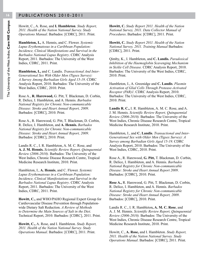Howitt, C., A. Rose, and **I. Hambleton**. *Study Report, 2011. Health of the Nation National Survey. Study Operations Manual*. Barbados: [CDRC], 2011. Print.

**Hambleton, I.,** A. Hennis, and C. Flower. *Systemic Lupus Erythematosus in a Caribbean Population: Incidence, Clinical Manifestations and Survival in the Barbados National Lupus Registry*. CDRC Analysis Report, 2011. Barbados: The University of the West Indies, CDRC, 2011. Print.

**Hambleton, I.,** and C. Landis. *Transactional And Inter-Generational Sex With Older Men (Tigsex Survey): A Survey Among Barbadian Girls Aged 15-19*. CDRC Analysis Report, 2010. Barbados: The University of the West Indies, CDRC, 2010. Print.

Rose A., **R. Harewood,** G. Pitt, T. Blackman, D. Corbin, R. Delice, I. Hambleton, and A. Hennis. *Barbados National Registry for Chronic Non-communicable Disease: Stroke and Heart Annual Report, 2009*. Barbados: [CDRC], 2010. Print.

Rose A., R. Harewood, G. Pitt, T. Blackman, D. Corbin, R. Delice, I. Hambleton, and **A. Hennis.** *Barbados National Registry for Chronic Non-communicable Disease: Stroke and Heart Annual Report, 2009*. Barbados: [CDRC], 2010. Print.

Landis R. C., I. R. Hambleton, A. M. C. Rose, and **A. J. M. Hennis.** *Scientific Review Report, Quinquennial Review (2006-2010).* Barbados: The University of the West Indies, Chronic Disease Research Centre, Tropical Medicine Research Institute, 2010. Print.

Hambleton, I., **A. Hennis**, and C. Flower. *Systemic Lupus Erythematosus in a Caribbean Population: Incidence, Clinical Manifestations and Survival in the Barbados National Lupus Registry*. CDRC Analysis Report, 2011. Barbados: The University of the West Indies, CDRC, 2011. Print.

**Howitt, C.,** and WHO/PAHO Regional Expert Group for Cardiovascular Disease Prevention through Populationwide Dietary Salt Reduction. *A Review of Methods to Determine the Main Sources of Salt in the Diet*. Technical Report, 2010. Barbados: [CDRC], 2011. Print.

**Howitt, C.,** A. Rose, and I. Hambleton. *Study Report, 2011. Health of the Nation National Survey. Study Operations Manual*. Barbados: [CDRC], 2011. Print.

**Howitt, C.** *Study Report 2011. Health of the Nation National Survey, 2011. Data Collector Manual of Procedures*. Barbados: [CDRC], 2011. Print.

**Howitt, C.** *Study Report 2011. Health of the Nation National Survey, 2011. Training Manual* Barbados: [CDRC], 2011. Print.

Qimby, K., I. Hambleton, and **C. Landis.** *Paradoxical Inhibition of the Haemoglobin Scavenging Mechanism in Sickle Cell Disease.* CDRC Analysis Report, 2010. Barbados: The University of the West Indies, CDRC, 2010. Print.

Hambleton, I., A. Greenidge and **C. Landis**. *Plasmin Activation of Glial Cells Through Protease-Activated Receptor (PAR)1*. CDRC Analysis Report, 2010. Barbados: The University of the West Indies, CDRC, 2010. Print.

**Landis R. C.,** I. R. Hambleton, A. M. C. Rose, and A. J. M. Hennis. *Scientific Review Report, Quinquennial Review (2006-2010).* Barbados: The University of the West Indies, Chronic Disease Research Centre, Tropical Medicine Research Institute, 2010. Print.

Hambleton, I., and **C. Landis**. *Transactional and Inter-Generational Sex with Older Men (Tigsex Survey): A Survey among Barbadian Girls Aged 15-19*. CDRC Analysis Report, 2010. Barbados: The University of the West Indies, CDRC, 2010. Print.

Rose A., R. Harewood, **G. Pitt,** T. Blackman, D. Corbin, R. Delice, I. Hambleton, and A. Hennis. *Barbados National Registry for Chronic Non-communicable Disease: Stroke and Heart Annual Report 2009*. Barbados: [CDRC], 2010. Print.

**Rose A.,** R. Harewood, G. Pitt, T. Blackman, D. Corbin, R. Delice, I. Hambleton, and A. Hennis. *Barbados National Registry for Chronic Non-communicable Disease: Stroke and Heart Annual Report, 2009*. Barbados: [CDRC], 2010. Print.

Landis R. C., I. R. Hambleton**, A. M. C. Rose**, and A. J. M. Hennis. *Scientific Review Report, Quinquennial Review (2006-2010).* Barbados: The University of the West Indies, Chronic Disease Research Centre, Tropical Medicine Research Institute, 2010. Print.

Howitt, C., **A. Rose,** and I. Hambleton. *Study Report, 2011. Health of the Nation National Survey. Study Operations Manual*. Barbados: [CDRC], 2011. Print.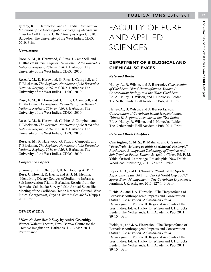The University of the West Indies, Cave Hill Campus The University of the West Indies, **Cave Hill Campus**

**Qimby, K.,** I. Hambleton, and C. Landis. *Paradoxical Inhibition of the Haemoglobin Scavenging Mechanism in Sickle Cell Disease.* CDRC Analysis Report, 2010. Barbados: The University of the West Indies, CDRC, 2010. Print.

#### *Newsletters*

Rose, A. M., R. Harewood, G. Pitts, J. Campbell, and **T. Blackman.** *The Register: Newsletter of the Barbados National Registry, 2010 and 2011*. Barbados: The University of the West Indies, CDRC, 2010.

Rose, A. M., R. Harewood, G. Pitts, **J. Campbell,** and T. Blackman**.** *The Register: Newsletter of the Barbados National Registry, 2010 and 2011*. Barbados: The University of the West Indies, CDRC, 2010.

Rose, A. M., **R. Harewood,** G. Pitts, J. Campbell, and T. Blackman**.** *The Register: Newsletter of the Barbados National Registry, 2010 and 2011*. Barbados: The University of the West Indies, CDRC, 2010.

Rose, A. M., R. Harewood, **G. Pitts,** J. Campbell, and T. Blackman**.** *The Register: Newsletter of the Barbados National Registry, 2010 and 2011*. Barbados: The University of the West Indies, CDRC, 2010.

**Rose, A. M.,** R. Harewood, G. Pitts, J. Campbell, and T. Blackman**.** *The Register: Newsletter of the Barbados National Registry, 2010 and 2011*. Barbados: The University of the West Indies, CDRC, 2010.

#### *Conference Papers*

Sharma S., B. L. Oberdorff, B. N. Hopping **A. M. C. Rose, C. Howitt,** R. Harris, and **A. J. M. Hennis**. "Identifying Dietary Sources of Sodium to Inform a Salt Intervention Trial in Barbados: Results from the Barbados Salt Intake Survey." 56th Annual Scientific Meeting of the Caribbean Health Research Council West Indies, Georgetown, Guyana. *West Indies Med J* (Suppl) 2011. Print.

#### *OTHER MEDIA*

*I Have No Son: Rico's Story* by **André Greenidge**. Warner-Walcott Theatre, Errol Barrow Centre for the Creative Imagination. Barbados. 11-13 Mar. 2011. Performance.

## FACULTY OF PURE AND APPLIED **SCIENCES**

#### **DEPARTMENT OF BIOLOGICAL AND CHEMICAL SCIENCES**

#### *Refereed Books*

Hailey, A., B. Wilson, and **J. Horrocks.** *Conservation of Caribbean Island Herpetofaunas. Volume I: Conservation Biology and the Wider Caribbean.* Ed. A. Hailey, B. Wilson, and J. Horrocks. Leiden, The Netherlands: Brill Academic Pub, 2011. Print.

Hailey, A., B. Wilson, and **J. Horrocks.** eds. *Conservation of Caribbean Island Herpetofaunas*. *Volume II: Regional Accounts of the West Indies.* Ed. A. Hailey, B. Wilson, and J. Horrocks. Leiden, The Netherlands: Brill Academic Pub, 2011. Print.

#### *Refereed Book Chapters*

**Carrington, C. M. S.**, R. Maharaj, and C. Sankat. "*Breadfruit* [*Artocarpus altilis* (Parkinson) *Fosberg*]." *Postharvest Biology and Technology of Tropical and Sub-Tropical Fruits. Volume 2: Açai to Citrus.* Ed. E. M. Yahia. Oxford, Cambridge, Philadelphia, New Delhi: Woodhead Publishing, 2011. 251-271. Print.

Lopez, F. B., and **L. Chinnery.** "Work of the Sports Agronomy Team (SAT) for Cricket World Cup 2007." *Sports Event Management – The Caribbean Experience*. Farnham, UK: Ashgate, 2011. 127-140. Print.

Fields, A., and J. A. Horrocks. "The Herpetofauna of Barbados: Anthropogenic Impacts and Conservation Status." *Conservation of Caribbean Island Herpetofaunas.* Volume II: Regional Accounts of the West Indies*.* Ed. A. Hailey, B. Wilson and J. Horrocks. Leiden, The Netherlands: Brill Academic Pub, 2011. 89-104. Print.

Fields, A., and **J. A. Horrocks**. "The Herpetofauna of Barbados: Anthropogenic Impacts and Conservation Status." *Conservation of Caribbean Island Herpetofaunas.* Volume II: Regional Accounts of the West Indies. Ed. A. Hailey, B. Wilson and J. Horrocks. Leiden, The Netherlands: Brill Academic Pub, 2011. 89-104. Print.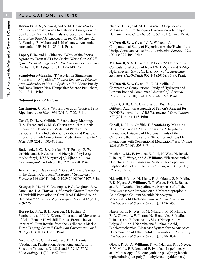**Horrocks, J. A.**, N. Ward, and A. M. Haynes-Sutton. "An Ecosystem Approach to Fisheries: Linkages with Sea Turtles, Marine Mammals and Seabirds." *Marine Ecosystem Based Management in the Caribbean.* Ed. L. Fanning, R. Mahon and P. McConney. Amsterdam: Amsterdam UP, 2011. 123-141. Print.

**Lopez, F. B.,** and L. Chinnery. "Work of the Sports Agronomy Team (SAT) for Cricket World Cup 2007." *Sports Event Management – The Caribbean Experience*. Farnham, UK: Ashgate, 2011. 127-140. Print.

**Scantlebury-Manning, T.** "Acylation Stimulating Protein as an Adipokine." *Modern Insights to Disease from Molecules to Man: Adipokines.* Ed. Victor Preedy and Ross Hunter. New Hampshire: Science Publishers, 2011. 3-11. Print.

#### *Refereed Journal Articles*

**Carrington, C. M. S.** "A Firm Focus on Tropical Fruit Ripening." *Acta Hort.* 894 (2011):17-32. Print.

Cohall, D. H., A. Griffith, T. Scantlebury-Manning, H. S. Fraser, and **C. M. S. Carrington.** "Drug-herb Interaction: Database of Medicinal Plants of the Caribbean, Their Indications, Toxicities and Possible Interactions with Conventional Medication." *West Indian Med. J* 59 (2010): 503-8. Print.

**Badenock, J. C**., J. A. Jordan, E. T. Pelkey, G. W. Gribble, and J. P. Jasinski. "4-Phenylsulfonyl-2-(*p*tolylsulfonyl)-1*H*,8*H*-pyrrolo[2,3-*b*]indole." *Acta Crystallographica* E66 (2010): 2757-2758. Print.

Jury, M., and **I. Gouirand**. "Decadal Climate Variability in the Eastern Caribbean." *Journal of Geophysical Research* 116 (2011): doi:10.1029/2010JD015107. Print.

Krueger, B. H., M. Y. Chaloupka, P. A. Leighton, J. A. Dunn**,** and **J. A. Horrocks**, **"**Somatic Growth Rates for a Hawksbill Population in Coral Reef Habitat Around Barbados." *Marine Ecology Progress Series* 432 (2011): 269-276. Print.

**Horrocks, J. A.**, B. H. Krueger, M. Fastigi, E. Pemberton, and K. L. Eckert. "International Movements of Adult Female Hawksbill Turtles (Eretmochelys imbricata): First Results from the Caribbean's Marine Turtle Tagging Centre." *Chelonian Conservation and Biology* 10 (2011): 18-25. Print.

Nicolas, C. G., G. LaPointe, and **M. C. Lavoie**. "Production, Purification, Sequencing and Activity Spectra of Mutacins D-123.1 and F-59.1." *BMC Microbiology* 11 (2011): 69. Print.

Nicolas, C. G., and **M. C. Lavoie**. "Streptococcus Mutans et les Streptocoques Buccaux dans la Plaque Dentaire." *Rev. Can. Microbiol.* 57 (2011): 1–20. Print.

**McDowell, S. A. C.,** and J. A. Walcott*.* "A Computational Study of Hypoglycin A, the Toxin of the Unripe Jamaican Ackee Fruit." *Molecular Physics* 109.3 (2011): 397-405. Print*.*

**McDowell, S. A. C.,** and K. P. Price. "A Comparative Computational Study of Novel X-Be-N<sub>2</sub>-Li and X-Mg-N2 -Li species (X = F, Cl, Br)." *Journal of Molecular Structure THEOCHEM* 962.1-3 (2010): 85-89. Print.

**McDowell, S. A. C***.,* and R. C. Marcellin. "A Comparative Computational Study of Hydrogen and Lithium-bonded Complexes." *Journal of Chemical Physics* 133 (2010): 144307-1-144307-7*.* Print.

**Popuri, S. R.**, C. Y. Chang, and J. Xu. "A Study on Different Addition Approach of Fenton's Reagent for DCOD Removal from ABS Wastewater." *Desalination* 277 (2011): 141-146. Print.

Cohall, D. H., A. Griffith, **T. Scantlebury-Manning**, H. S. Fraser, and C. M. S. Carrington**.** "Drug-herb Interaction: Database of Medicinal Plants of the Caribbean, their Indications, Toxicities and Possible Interactions with Conventional Medication." *West Indian Med. J* 59 (2010): 503-8. Print.

Muchindu, M., E. Iwuoha, E. Pool, N. West, N. Jahed, P. Baker, T. Waryo, and **A. Williams.** "Electrochemical Ochratoxin A Immunosensor System Developed on Sulphonated Polyaniline." *Electroanalysis* 23.1 (2011): 122-128. Print.

Ndangili, P. M., A. N. Jijana, R. A. Olowu, S. N. Mailu, F. R. Ngece, **A. Williams,** T. T. Waryo, P. G. L. Baker, and E. I. Iwuoha. "Impedimetric Response of a Label-Free Genosensor Prepared on a 3-Mercaptopropionic Acid Capped Gallium Selenide Nanocrystal Modified Gold Electrode." *International Journal of Electrochemical Science* 6 (2011): 1438-1453. Print.

Ngece, R. F., N. West, P. M. Ndangili, M. Muchindu, R. A. Olowu, **A. Williams,** N. Hendricks, S. Mailu, P. Baker, and E. Iwuoha. "A Silver Nanoparticle/ Poly(8-Anilino-1-Naphthalene Sulphonic Acid) Bioelectrochemical Biosensor System for the Analytical Determination of Ethambutol." *International Journal of Electrochemical Science* 6 (2011): 1820-1834. Print.

Olowu, R. A., A. **Williams,** P. M. Ndangili, R. F. Ngece, S. N. Mailu, P. Baker, and E. Iwuoha. "Impedimetry and Microscopy of Electrosynthetic poly(propyleneth iophenoimine)-co-poly(3,4-ethylenedioxythiophene)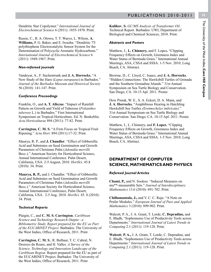Dendritic Star Copolymer." *International Journal of Electrochemical Science* 6 (2011): 1855-1870. Print.

Rassie, C., R. A. Olowu, T. T. Waryo, L. Wilson, **A. Williams,** P. G. Baker, and E. Iwuoha. "Dendritic 7Tpolythiophene Electrocatalytic Sensor System for the Determination of Polycyclic Aromatic Hydrocarbons." *International Journal of Electrochemical Science* 6 (2011): 1949-1967. Print.

#### *Non-refereed journals*

Vandeyar, A., F. Suchentrunk and **J. A. Horrocks**, "A New Study of the Hare (*Lepus europaeus*) in Barbados." *Journal of the Barbados Museum and Historical Society*  56 (2010): 141-147. Print.

#### *Conference Proceedings*

Franklin, O., and **A. T. Alleyne**. "Impact of Rainfall Pattern on Growth and Yield of Tuberose (*Polianthes tuberose* L.) in Barbados." First International Symposium on Tropical Horticulture. Ed. N. Benkeblia. *Acta Horticulturae* 894 (2011): 77-82. Print.

**Carrington, C. M. S.** "A Firm Focus on Tropical Fruit Ripening." *Acta Hort.* 894 (2011):17-32. Print.

Maurya, R. P., and **J. Chandler**. "Effect of Gibberellic Acid and Substrates on Seed Germination and Growth Parameters of Christmas Palm (*Adonidia merrilli*  Becc.)." American Society for Horticultural Science, Annual International Conference. Palm Desert, California, USA. 2-5 August, 2010. *HortSci.* 45.8 (2010): 34. Print.

**Maurya, R. P.,** and J. Chandler. "Effect of Gibberellic Acid and Substrates on Seed Germination and Growth Parameters of Christmas Palm (*Adonidia merrilli*  Becc.)." American Society for Horticultural Science, Annual International Conference, Palm Desert, California, USA. 2-5 Aug. 2010. *HortSci.* 45. 8 (2010): 34. Print.

#### *Technical Reports*

Plaigin, C., and **C. M. S. Carrington**. *Caribbean Science and Technology Research Output - a Bibliometric Study. Report prepared for the EU as Part of the EUCARINET Project*. Barbados: The University of the West Indies, Office of Research, 2011. Print

**Carrington, C. M. S**., R. Bulbaai, T. C. Cabral, N. Desroys du Roure, and H. Valles. *A Survey of the Science, Technology and Innovation Landscape of the Caribbean Region*. Report prepared for the EU as part of the EUCARINET Project. Barbados: The University of the West Indies, Office of Research, 2011. Print

**Kulikov**, **S.** *GC/MS Analysis of Transformer Oil*. Technical Report. Barbados: UWI, Department of Biological and Chemical Sciences, 2010. Print.

#### *Abstracts and Posters*

Matthew, J., **L. Chinnery,** and F. Lopez**.** "Clipping Frequency Effects on Growth, Greenness Index and Water Status of Bermuda Grass." International Annual Meetings, ASA, CSSA and SSSA. 1-5 Nov. 2010, Long Beach, CA. Abstract.

Browne, D., C. Lloyd, C. Isaacs, and **J. A. Horrocks**. "Hidden Connections: The Hawksbill Turtles of Grenada and the Southern Grenadine Islands." 31st Annual Symposium on Sea Turtle Biology and Conservation. San Diego, CA. 10-15 Apl. 2011. Poster.

Dow Piniak, W. E., S. A. Eckert, D. A. Mann, and **J. A. Horrocks.** "Amphibious Hearing in Hatchling Hawksbill Sea Turtles *(Eretmochelys imbricate)*." 31st Annual Symposium on Sea Turtle Biology and Conservation. San Diego, CA. 10-15 Apl. 2011. Poster.

Matthew, J., L. Chinnery, and **F. Lopez.** "Clipping Frequency Effects on Growth, Greenness Index and Water Status of Bermuda Grass." International Annual Meetings, ASA, CSSA and SSSA. 1-5 Nov. 2010, Long Beach, CA. Abstract.

#### **DEPARTMENT OF COMPUTER SCIENCE, MATHEMATICS AND PHYSICS**

#### *Refereed Journal Articles*

**Chami, P.,** and N. Sookoo. "Induced Measures on mu\*\*-measurable Sets." *Journal of Interdisciplinary Mathematics* 13.6 (2010): 691-702. Print.

**Chillumuntala, J.,** and V. C. C. Raju. "A Note on Prufer Modules." *European Journal of Pure and Applied Mathematics* 3 (2010): 899-902. Print.

Walcott, P. A., J. A. Grant, T. Lorde, **C. Depradine,** and E. Bladh**.** "Sophomores Use of Productivity Tools across Departments." *International Journal of Latest Trends in Computing* 2.1 (2011): 119-128. Print.

**Walcott**, **P. A.,** J. A. Grant, T. Lorde, C. Depradine, and E. Bladh**.** "Sophomores Use of Productivity Tools across Departments." *International Journal of Latest Trends in Computing* 2.1 (2011): 119-128. Print.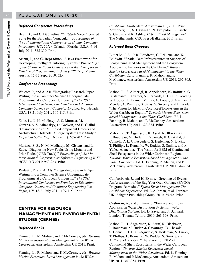#### *Refereed Conference Proceedings*

Byer, D., and **C. Depradine. "**VOSS-A Voice Operated Suite for the Barbadian Vernacular*.*" *Proceedings of the 14th International Conference on Human Computer Interaction (HC12011).* Orlando, Florida, U.S.A. 9-14 July 2011: 325-330. Print.

Arthur, J., and **C. Depradine.** "A Java Framework for Developing Intelligent Tutoring Systems." Pro*ceedings of the 8th International Conference on the Principles and Practice of Programming in Java (PPPJ'10),* Vienna, Austria. 15-17 Sept. 2010. CD.

#### *Conference Proceedings*

Walcott, P., and **A. Als**. "Integrating Research Paper Writing into a Computer Science Undergraduate Programme at a Caribbean University." *The 2011 International Conference on Frontiers in Education: Computer Science and Computer Engineering.* Nevada, USA. 18-21 July 2011. 109-115. Print.

Zude, L., N. H. Madhavji, S. S. Murtaza, **M. Gittens,** A. V. Miranskyy, D. Godwin, and E. Cialini. "Characteristics of Multiple-Component Defects and Architectural Hotspots: A Large System Case Study." *Empirical Softw. Eng.* 16.5 (2011): 667-702. Print.

Murtaza, S. S., N. M. Madhavji, **M. Gittens,** and L. Zude. "Diagnosing New Faults Using Mutants and Prior Faults (NIER Track)." *Proceedings of the 33rd International Conference on Software Engineering ICSE (ICSE '11)* 2011: 960-963. Print.

**Walcott, P.,** and A. Als. "Integrating Research Paper Writing into a Computer Science Undergraduate Programme at a Caribbean University." *The 2011 International Conference on Frontiers in Education: Computer Science and Computer Engineering,* Las Vegas, NV. 18-21 July 2011. 109-115. Print.

#### **CENTRE FOR RESOURCE MANAGEMENT AND ENVIRONMENTAL STUDIES (CERMES)**

#### *Refereed Books*

Fanning, L., **R. Mahon,** and P. McConney, eds. *Towards Marine Ecosystem-based Management in the Wider Caribbean.* Amsterdam: Amsterdam UP, 2011. Print.

Fanning, L., R. Mahon, and **P. McConney,** eds. *Towards Marine Ecosystem-based Management in the Wider* 

*Caribbean.* Amsterdam: Amsterdam UP, 2011. Print. Zevenberg, C., **A. Cashman, N.** Evelpidou, E. Pasche, S, Garvin, and R. Ashley. *Urban Flood Management*. The Netherlands: CRC Press/Balkema, 2011. Print.

#### *Refereed Book Chapters*

Butler M. J. A., P. R. Boudreau, C. LeBlanc, and **K. Baldwin**. "Spatial Data Infrastructures in Support of Ecosystem-Based Management and the Ecosystem Approach to Fisheries in the Caribbean." *Towards Marine Ecosystem-based Management in the Wider Caribbean*. Ed. L. Fanning, R. Mahon, and P. McConney. Amsterdam: Amsterdam UP, 2011. 297-305. Print.

Mahon, R., S. Almerigi, R. Appeldoorn, **K. Baldwin**, G. Bustamante, J. Cramer, N. Ehrhardt, D. Gill, C. Gooding, W. Hobson, P. Kramer, M. Lay, A. Lopez, S. Martinez, J. Mendes, A. Ramirez, S. Salas, V. Sweeny, and B. Wade. "The Vision for EBM of Coral Reef Ecosystems in the Wider Caribbean Region." *Towards Marine Ecosystembased Management in the Wider Caribbean*. Ed. L. Fanning, R. Mahon, and P. McConney. Amsterdam: Amsterdam UP, 2011. 323-334. Print.

Mahon, R., T. Ásgeirsson, K. Asraf, **K. Blackman,** P. Boudreau, M. Butler, J. Cavanagh, B. Chakalal, S. Connell, D. L. Gil-Agudelo, S. Heileman, N. Lucky, T. Phillips, L. Romahlo, W. Rudder, S. Smikle, and A. Yáñez-Arancibia. "The Vision for EBM of Continental Shelf Ecosystems in the Wider Caribbean Region." *Towards Marine Ecosystem-based Management in the Wider Caribbean*. Ed. L. Fanning, R. Mahon, and P. McConney. Amsterdam: Amsterdam UP, 2011. 347-354. Print.

Cumberbatch, J., and **K. Bynoe**. "Greening of Events: An Assessment of the Bag Your Own Garbage (BYOG) Program, Barbados." *Sports Event Management: The Caribbean Experience.* Ed. L-A Jordan, et al. Farnham, UK: Ashgate Publishing Group, 2010. 35-52. Print.

**Cashman, A.,** and J. Banyard. "Finance and Project Appraisal in Water Distribution Systems." *Water Distribution Systems.* Ed. D. Savic, and J. Banyard. London: Thomas Telford, 2010. 263-308. Print.

Mahon, R., T. Ásgeirsson, K. Asraf, K. Blackman, P. Boudreau, M. Butler, **J. Cavanagh**, B. Chakalal, S. Connell, D. L. Gil-Agudelo, S. Heileman, N. Lucky, T. Phillips, L. Romahlo, W. Rudder, S. Smikle, and A. Yáñez-Arancibia. "The Vision for EBM of Continental Shelf Ecosystems in the Wider Caribbean Region." *Towards Marine Ecosystem-based Management in the Wider Caribbean*. Ed. L. Fanning, R. Mahon, and P. McConney. Amsterdam: Amsterdam UP, 2011. 347-354. Print.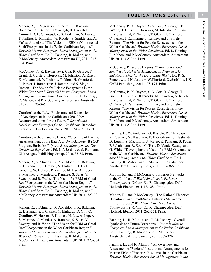Mahon, R., T. Ásgeirsson, K. Asraf, K. Blackman, P. Boudreau, M. Butler, J. Cavanagh, B. Chakalal, **S. Connell**, D. L. Gil-Agudelo, S. Heileman, N. Lucky, T. Phillips, L. Romahlo, W. Rudder, S. Smikle, and A. Yáñez-Arancibia. "The Vision for EBM of Continental Shelf Ecosystems in the Wider Caribbean Region." *Towards Marine Ecosystem-based Management in the Wider Caribbean*. Ed. L. Fanning, R. Mahon, and P. McConney. Amsterdam: Amsterdam UP, 2011. 347- 354. Print.

McConney, P., K. Baynes, **S-A. Cox,** R. George, T. Grant, H. Guiste, J. Horrocks, M. Johnston, A. Kinch, E. Mohammed, V. Nicholls, T. Olton, H. Oxenford, C. Parker, I. Ramnarine, J. Rennie, and S. Singh-Renton. "The Vision for Pelagic Ecosystems in the Wider Caribbean." *Towards Marine Ecosystem-based Management in the Wider Caribbean*. Ed. L. Fanning, R. Mahon, and P. McConney. Amsterdam: Amsterdam UP, 2011. 335-346. Print.

**Cumberbatch, J. A.** "Environmental Dimensions of Development in the Caribbean 1960–2009. Recommendations for the Future." *Growth and Development Strategies for the Caribbean.* Barbados: Caribbean Development Bank, 2010: 343-358. Print.

**Cumberbatch, J**., and K. Bynoe. "Greening of Events: An Assessment of the Bag Your Own Garbage (BYOG) Program, Barbados." *Sports Event Management: The Caribbean Experience.* Ed. L-A Jordan, et al. Farnham, UK: Ashgate Publishing Group, 2010. 35-52. Print.

Mahon, R., S. Almerigi, R. Appeldoorn, K. Baldwin, G. Bustamante, J. Cramer, N. Ehrhardt, **D. Gill,** C. Gooding, W. Hobson, P. Kramer, M. Lay, A. Lopez, S. Martinez, J. Mendes, A. Ramirez, S. Salas, V. Sweeny, and B. Wade. "The Vision for EBM of Coral Reef Ecosystems in the Wider Caribbean Region." *Towards Marine Ecosystem-based Management in the Wider Caribbean*. Ed. L. Fanning, R. Mahon, and P. McConney. Amsterdam: Amsterdam UP, 2011. 323-334. Print.

Mahon, R., S. Almerigi, R. Appeldoorn, K. Baldwin, G. Bustamante, J. Cramer, N. Ehrhardt, D. Gill, **C. Gooding**, W. Hobson, P. Kramer, M. Lay, A. Lopez, S. Martinez, J. Mendes, A. Ramirez, S. Salas, V. Sweeny, and B. Wade. "The Vision for EBM of Coral Reef Ecosystems in the Wider Caribbean Region." *Towards Marine Ecosystem-based Management in the Wider Caribbean*. Ed. L. Fanning, R. Mahon, and P. McConney. Amsterdam: Amsterdam UP, 2011. 323-334. Print.

McConney, P., K. Baynes, S-A. Cox, R. George, **T. Grant**, H. Guiste, J. Horrocks, M. Johnston, A. Kinch, E. Mohammed, V. Nicholls, T. Olton, H. Oxenford, C. Parker, I. Ramnarine, J. Rennie, and S. Singh-Renton. "The Vision for Pelagic Ecosystems in the Wider Caribbean." *Towards Marine Ecosystem-based Management in the Wider Caribbean*. Ed. L. Fanning, R. Mahon, and P. McConney. Amsterdam: Amsterdam UP, 2011. 335-346. Print.

McConney, P., and **C. Haynes.** "Communication." *Small-scale Fisheries Management: Frameworks and Approaches for the Developing World.* Ed. R. S. Pomeroy, and N. Andrew. Wallingford, Oxfordshire, UK: CABI Publishing, 2011. 178-195. Print.

McConney, P., K. Baynes, S-A. Cox, R. George, T. Grant, H. Guiste, **J. Horrocks**, M. Johnston, A. Kinch, E. Mohammed, V. Nicholls, T. Olton, H. Oxenford, C. Parker, I. Ramnarine, J. Rennie, and S. Singh-Renton. "The Vision for Pelagic Ecosystems in the Wider Caribbean." *Towards Marine Ecosystem-based Management in the Wider Caribbean*. Ed. L. Fanning, R. Mahon, and P. McConney. Amsterdam: Amsterdam UP, 2011. 335-346. Print.

Fanning, L., W. Anderson, G. Bianchi, W. Clerveaux, R. Fournier, M. Haughton, E. Hjörleifsson, S. Husbands, **D. Logan,** S. MacIntosh, J. Mateo**,** K. Parsram, B. Potter, P. Schuhmann, R. Soto, C. Toro, D. VanderZwaag, and G. White. "Developing the Vision for EBM Governance in the Wider Caribbean." *Towards Marine Ecosystembased Management in the Wider Caribbean*. Ed. L. Fanning, R. Mahon, and P. McConney. Amsterdam: Amsterdam University Press, 2011. 355-366. Print.

**Mahon, R.,** and P. McConney. "Fisheries Networks in the Caribbean." *World Small-scale Fisheries: Contemporary Visions.* Ed. R. Chuenpagdee. Delft, Holland: Eburon, 2011:273-284. Print.

**Mahon, R**., and P. McConney. "The National Fisheries Department and Small-Scale Fisheries Management: 'Fit for Purpose? *World Small-scale Fisheries: Contemporary Visions.* Ed. R. Chuenpagdee. Delft, Holland: Eburon, 2011. 262-271. Print.

Fanning, L., **R. Mahon,** and P. McConney. "Overall Synthesis and Future Directions." *Towards Marine Ecosystem-based Management in the Wider Caribbean*. Ed. L. Fanning, R. Mahon, and P. McConney. Amsterdam: Amsterdam UP, 2011: 367-376. Print.

Fanning, L., and **R. Mahon**. "An Overview and Assessment of Regional Institutional Arrangements for Marine EBM of Fisheries Resources in the Caribbean." *Towards Marine Ecosystem-based Management in the*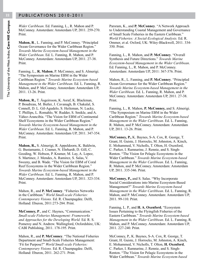*Wider Caribbean*. Ed. Fanning, L., R. Mahon and P. McConney. Amsterdam: Amsterdam UP, 2011. 259-270. Print.

**Mahon, R**., L. Fanning, and P. McConney. "Principled Ocean Governance for the Wider Caribbean Region." *Towards Marine Ecosystem-based Management in the Wider Caribbean*. Ed. L. Fanning, R. Mahon, and P. McConney. Amsterdam: Amsterdam UP, 2011. 27-38. Print.

Fanning, L., **R. Mahon**, P. McConney, and S. Almerigi. "The Symposium on Marine EBM in the Wider Caribbean Region." *Towards Marine Ecosystem-based Management in the Wider Caribbean*. Ed. L. Fanning, R. Mahon, and P. McConney. Amsterdam: Amsterdam UP, 2011. 13-26. Print.

**Mahon, R.,** T. Ásgeirsson, K. Asraf, K. Blackman, P. Boudreau, M. Butler, J. Cavanagh, B. Chakalal, S. Connell, D. L. Gil-Agudelo, S. Heileman, N. Lucky, T. Phillips, L. Romahlo, W. Rudder, S. Smikle, and A. Yáñez-Arancibia. "The Vision for EBM of Continental Shelf Ecosystems in the Wider Caribbean Region." *Towards Marine Ecosystem-based Management in the Wider Caribbean*. Ed. L. Fanning, R. Mahon, and P. McConney. Amsterdam: Amsterdam UP, 2011. 347-354. Print.

**Mahon, R.,** S. Almerigi, R. Appeldoorn, K. Baldwin, G. Bustamante, J. Cramer, N. Ehrhardt, D. Gill, C. Gooding, W. Hobson, P. Kramer, M. Lay, A. Lopez, S. Martinez, J. Mendes, A. Ramirez, S. Salas, V. Sweeny, and B. Wade. "The Vision for EBM of Coral Reef Ecosystems in the Wider Caribbean Region." *Towards Marine Ecosystem-based Management in the Wider Caribbean*. Ed. L. Fanning, R. Mahon, and P. McConney. Amsterdam: Amsterdam UP, 2011. 323-334. Print.

Mahon, R., and **P. McConney**. "Fisheries Networks in the Caribbean." *World Small-scale Fisheries: Contemporary Visions.* Ed. R. Chuenpagdee. Delft, Holland: Eburon, 2011:273-284. Print.

**McConney, P**., and C. Haynes**.** "Communication." *Small-scale Fisheries Management: Frameworks and Approaches for the Developing World.* Ed. R. S. Pomeroy and N. Andrew. Wallingford, Oxfordshire, UK: CABI Publishing, 2011. 178-195. Print.

Mahon, R., and **P. McConney**. "The National Fisheries Department and Small-Scale Fisheries Management: 'Fit for Purpose?" *World Small-scale Fisheries: Contemporary Visions.* Ed. R. Chuenpagdee. Delft, Holland: Eburon, 2011. 262-271. Print.

Parsram, K., and **P. McConney**. "A Network Approach to Understanding Coastal Management and Governance of Small Scale Fisheries in the Eastern Caribbean." *World Fisheries: A Social-Ecological Analysis.* Ed. R. Ommer, et al. Oxford, UK: Wiley-Blackwell, 2011. 334- 350. Print.

Fanning, L., R. Mahon, and **P. McConney**. "Overall Synthesis and Future Directions." *Towards Marine Ecosystem-based Management in the Wider Caribbean*. Ed. Fanning, L., R. Mahon, and P. McConney. Amsterdam: Amsterdam UP, 2011: 367-376. Print.

Mahon, R., L. Fanning, and **P. McConney**. "Principled Ocean Governance for the Wider Caribbean Region." *Towards Marine Ecosystem-based Management in the Wider Caribbean*. Ed. L. Fanning, R. Mahon, and P. McConney. Amsterdam: Amsterdam UP, 2011. 27-38. Print.

Fanning, L., R. Mahon, **P. McConney,** and S. Almerigi. "The Symposium on Marine EBM in the Wider Caribbean Region." *Towards Marine Ecosystem-based Management in the Wider Caribbean*. Ed. L. Fanning, R. Mahon, and P. McConney. Amsterdam: Amsterdam UP, 2011. 13-26. Print.

**McConney, P.,** K. Baynes, S-A. Cox, R. George, T. Grant, H. Guiste, J. Horrocks, M. Johnston, A. Kinch, E. Mohammed, V. Nicholls, T. Olton, H. Oxenford, C. Parker, I. Ramnarine, J. Rennie, and S. Singh-Renton. "The Vision for Pelagic Ecosystems in the Wider Caribbean." *Towards Marine Ecosystem-based Management in the Wider Caribbean*. Ed. L. Fanning, R. Mahon, and P. McConney. Amsterdam: Amsterdam UP, 2011. 335-346. Print.

**McConney, P.,** and S. Salas. "Why Incorporate Social Considerations into Marine Ecosystem-Based Management?" *Towards Marine Ecosystem-based Management in the Wider Caribbean*. Ed. L. Fanning, R. Mahon, and P. McConney. Amsterdam: Amsterdam UP, 2011. 99-110. Print.

Fanning, L. P., and **H. A. Oxenford.** "Ecosystem Issues Pertaining to the Flyingfish Fisheries of the Eastern Caribbean." *Towards Marine Ecosystem-based Management in the Wider Caribbean*. Ed. L. Fanning, R. Mahon, and P. McConney. Amsterdam: Amsterdam UP, 2011. 227-240. Print.

McConney, P., K. Baynes, S-A. Cox, R. George, T. Grant, H. Guiste, J. Horrocks, M. Johnston, A. Kinch, E. Mohammed, V. Nicholls, T. Olton, **H. Oxenford**, C. Parker, I. Ramnarine, J. Rennie, and S. Singh-Renton. "The Vision for Pelagic Ecosystems in the Wider Caribbean." *Towards Marine Ecosystem-based*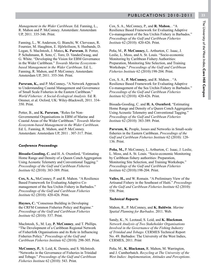*Management in the Wider Caribbean*. Ed. Fanning, L., R. Mahon and P. McConney. Amsterdam: Amsterdam UP, 2011. 335-346. Print.

Fanning, L., W. Anderson, G. Bianchi, W. Clerveaux, R. Fournier, M. Haughton, E. Hjörleifsson, S. Husbands, D. Logan, S. MacIntosh, J. Mateo**, K. Parsram**, B. Potter, P. Schuhmann, R. Soto, C. Toro, D. VanderZwaag, and G. White. "Developing the Vision for EBM Governance in the Wider Caribbean." *Towards Marine Ecosystembased Management in the Wider Caribbean*. Ed. L. Fanning, R. Mahon, and P. McConney. Amsterdam: Amsterdam UP, 2011. 355-366. Print.

**Parsram, K.,** and P. McConney**.** "A Network Approach to Understanding Coastal Management and Governance of Small Scale Fisheries in the Eastern Caribbean." *World Fisheries: A Social-Ecological Analysis.* Ed. R. Ommer, et al. Oxford, UK: Wiley-Blackwell, 2011. 334- 350. Print.

Potter, B., and **K. Parsram**, "Roles for Non-Governmental Organisations in EBM of Marine and Coastal Areas of the Wider Caribbean." *Towards Marine Ecosystem-based Management in the Wider Caribbean*. Ed. L. Fanning, R. Mahon, and P. McConney. Amsterdam: Amsterdam UP, 2011 . 307-317. Print.

#### *Conference Proceedings*

**Bissada-Gooding, C.** and H. A. Oxenford**.** "Estimating Home Range and Density of a Queen Conch Aggregation Using Acoustic Telemetry and Conventional Tagging." *Proceedings of the Gulf and Caribbean Fisheries Institute* 62 (2010): 383-389. Print.

**Cox, S. A.,** McConney, P. and R. Mahon. "A Resilience Based Framework for Evaluating Adaptive Comanagement of the Sea Urchin Fishery in Barbados." *Proceedings of the Gulf and Caribbean Fisheries Institute* 62 (2010): 420-426. Print.

**Haynes, C.** "Consensus Building in Developing the CRFM Common Fisheries Policy and Regime." *Proceedings of the Gulf and Caribbean Fisheries Institute* 62 (2010): 537. Print.

MacIntosh, S., M. Lay, **P. McConney**, and T. Phillips. "The Development of a Caribbean Regional Network of Fisherfolk Organisations and its Role in Influencing Fisheries Policy." *Proceedings of the Gulf and Caribbean Fisheries Institute* 62 (2010): 298-305. Print.

**McConney, P.**, S. Leid, K. Dennis, and S. McIntosh. "Networks in the Governance of Fisheries in Trinidad and Tobago." *Proceedings of the Gulf and Caribbean Fisheries Institute* 62 (2010): 543. Print.

Cox, S. A., McConney, P., and **R. Mahon.** . "A Resilience Based Framework for Evaluating Adaptive Co-management of the Sea Urchin Fishery in Barbados." *Proceedings of the Gulf and Caribbean Fisheries Institute* 62 (2010): 420-426. Print.

Peña, M., **P. McConney,** L. Arthurton, C. Isaac, J. Leslie, L. Moss, and A. St. Louis. "Socio-economic Monitoring by Caribbean Fishery Authorities: Preparation, Monitoring Site Selection, and Training Workshops." *Proceedings of the Gulf and Caribbean Fisheries Institute* 62 (2010):198-204. Print.

Cox, S. A., **P. McConney,** and R. Mahon. . "A Resilience Based Framework for Evaluating Adaptive Co-management of the Sea Urchin Fishery in Barbados." *Proceedings of the Gulf and Caribbean Fisheries Institute* 62 (2010): 420-426. Print.

Bissada-Gooding, C. and **H. A. Oxenford.** "Estimating Home Range and Density of a Queen Conch Aggregation Using Acoustic Telemetry and Conventional Tagging." *Proceedings of the Gulf and Caribbean Fisheries Institute* 62 (2010): 383-389. Print.

Parsram, K. People, Issues and Networks in Small-scale fisheries in the Eastern Caribbean. *Proceedings of the Gulf and Caribbean Fisheries Institute* 62 (2010): 128- 136. Print.

**Peña, M.,** P. McConney, L. Arthurton, C. Isaac, J. Leslie, L. Moss, and A. St. Louis. "Socio-economic Monitoring by Caribbean fishery authorities: Preparation, Monitoring Site Selection, and Training Workshops." *Proceedings of the Gulf and Caribbean Fisheries Institute* 62 (2010):198-204. Print.

**Valles, H.,** and W. Romain. "A Preliminary View of the Artisanal Fishery in the Southeast of Haiti." *Proceedings of the Gulf and Caribbean Fisheries Institute* 62 (2010): 556. Print.

#### *Technical Reports*

Mahon, R., P. McConney, and **K. Baldwin**. *Marine Spatial Planning for Barbados*. 2011. Web.

Sandy, K., N. Leotaud, S. Leid, and **K. Blackman**. *Network Analysis of Two Stakeholder Organisations Involved in the Governance of the Fishing Industry of Trinidad and Tobago*. CERMES Technical Report No. 49. Barbados: The University of the West Indies, CERMES, 2011. Print

Peña, M., **K. Blackman,** R. Mahon, M. Warrington, and J. Cumberbatch. *Recycling at The University of the West Indies: Implementation, Attitudes and Perceptions*.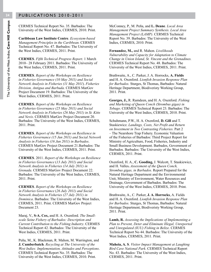CERMES Technical Report No. 35. Barbados: The University of the West Indies, CERMES, 2010. Print.

**Caribbean Law Institute Centre**. *Ecosystem-based Management Principles in the Caribbean.* CERMES Technical Report No. 47. Barbados: The University of the West Indies, CERMES, 2011. Print.

**CERMES**. *Fifth Technical Progress Report*. 1 March 2010– 28 February 2011. Barbados: The University of the West Indies, CERMES, 2011. Print.

**CERMES**. *Report of the Workshops on Resilience in Fisheries Governance (10 May 2011) and Social Network Analysis in Fisheries (11 May 2011*). *Fisheries Division, Antigua and Barbuda.* CERMES MarGov Project Document 19. Barbados: The University of the West Indies, CERMES, 2011. Print.

**CERMES**. *Report of the Workshops on Resilience in Fisheries Governance (25 May 2011) and Social Network Analysis in Fisheries (26 May 2011) in St. Kitts and Nevis*. CERMES MarGov Project Document 20. Barbados: The University of the West Indies, CERMES, 2011. Print.

**CERMES**. *Report of the Workshops on Resilience in Fisheries Governance (15 Jun 2011) and Social Network Analysis in Fisheries (16 Jun 2011) in Barbados*. CERMES MarGov Project Document 21.Barbados: The University of the West Indies, CERMES, 2011. Print.

**CERMES**. 2011. *Report of the Workshops on Resilience in Fisheries Governance* (*13 July 2011) and Social Network Analysis in Fisheries (14 July 2011) in Grenada*. CERMES MarGov Project Document 22. Barbados: The University of the West Indies, CERMES, 2011. Print.

**CERMES**. *Report of the Workshops on Resilience in Fisheries Governance* (*26 July 2011) and Social Network Analysis in Fisheries (27 July 2011) in Dominica*. Barbados: The University of the West Indies, CERMES, 2011. Print. CERMES MarGov Project Document 23.

Maraj, V., **S-A. Cox,** and H. A. Oxenford. *The Smallscale Seine Fishery of Barbados: Description and Current Contribution to the Fishing Industry*. CERMES Technical Report 42. Barbados: The University of the West Indies, CERMES, 2011. Print.

Peña, M., K. Blackman, R. Mahon, M. Warrington, and **J. Cumberbatch**. *Recycling at The University of the West Indies: Implementation, Attitudes and Perceptions*. CERMES Technical Report No. 35. Barbados: The University of the West Indies, CERMES, 2010. Print.

McConney, P., M. Peña, and **L. Deane**. *Local Area Management Project Summary Synthesis. Local Area Management Project (LAMP)*. CERMES Technical Report No. 39. Barbados: The University of the West Indies, CERMES, 2010. Print.

**Fernandez, M.,** and R. Mahon. *Livelihoods Vulnerability and Capacity for Adaptation to Climate Change in Union Island, St. Vincent and the Grenadines.* CERMES Technical Report No. 48. Barbados: The University of the West Indies, CERMES, 2011. Print.

Brathwaite, A., C. Parker, J. A. Horrocks, **A. Fields** and H. A. Oxenford. *Lionfish Invasion Response Plan for Barbados.* Sturges, St Thomas, Barbados: Natural Heritage Department, Biodiveristy Working Group, 2011. Print.

**Georges, J.,** R. Ramdeen, and H. A. Oxenford. *Fishing and Marketing of Queen Conch (Strombus gigas) in Tobago*. CERMES Technical Report 23. Barbados: The University of the West Indies, CERMES, 2010. Print.

Schuhmann, P.W., H. A. Oxenford, **D. Gill** and T. Staskiewicz. *Landings, Costs, Net Profit and Return on Investment in Two Contrasting Fisheries.* Part 2 – The Nearshore Trap Fishery. Economic Valuation of the Fisheries of Barbados: Third Project Report for Ministry of Agriculture, Food, Fisheries, Industry and Small Business Development. Barbados, Government of Barbados. Barbados: The University of the West Indies, CERMES, 2011. Print.

Oxenford, H. A., **C. Gooding,** J. Walcott, T. Staskiewicz, and H. Valles**.** *Assessment of the Queen Conch, Strombus gigas, in Barbados.* Report Prepared for the Natural Heritage Department and the Environmental Unit, Ministry of Environment, Water Resources and Drainage, Government of Barbados. Barbados: The University of the West Indies, CERMES, 2010. Print.

Brathwaite, A., C. Parker, **J. A. Horrocks**, A. Fields and H. A. Oxenford. *Lionfish Invasion Response Plan for Barbados.* Sturges, St Thomas, Barbados: Natural Heritage Department, Biodiveristy Working Group, 2011. Print.

**Lamb, R.** *Assessing the Implications of Implementing a Plan to Prevent, Deter and Eliminate Illegal, Unreported and Unregulated (IUU) Fishing in Belize.* CERMES Technical Report No 44. Barbados: The University of the West Indies, CERMES, 2011. Print.

**Maheia, A. S**. *Visitor Impact Management at Laughing Bird Cave National Park*. CERMES Technical Report No. 43. Barbados: The University of the West Indies, CERMES, 2011. Print.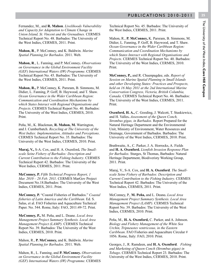Fernandez, M., and **R. Mahon**. *Livelihoods Vulnerability and Capacity for Adaptation to Climate Change in Union Island, St. Vincent and the Grenadines.* CERMES Technical Report No. 48. Barbados: The University of the West Indies, CERMES, 2011. Print.

**Mahon, R**., P. McConney, and K. Baldwin. *Marine Spatial Planning for Barbados*. 2011. Web.

**Mahon, R**., L. Fanning, and P. McConney**.** *Observations on Governance in the Global Environment Facility (GEF) International Waters (IW) Programme*. CERMES Technical Report No. 45. Barbados: The University of the West Indies, CERMES, 2011. Print.

**Mahon, R.,** P. McConney, K. Parsram, B. Simmons, M. Didier, L. Fanning, P. Goff, B. Haywood, and T. Shaw. *Ocean Governance in the Wider Caribbean Region: Communication and Coordination Mechanisms by which States Interact with Regional Organisations and Projects*. CERMES Technical Report No. 40. Barbados: The University of the West Indies, CERMES, 2010. Print.

Peña, M., K. Blackman, **R. Mahon, M.** Warrington, and J. Cumberbatch. *Recycling at The University of the West Indies: Implementation, Attitudes and Perceptions*. CERMES Technical Report No. 35. Barbados: The University of the West Indies, CERMES, 2010. Print.

**Maraj, V.,** S-A. Cox, and H. A. Oxenford**.** *The Smallscale Seine Fishery of Barbados: Description and Current Contribution to the Fishing Industry*. CERMES Technical Report 42. Barbados: The University of the West Indies, CERMES, 2011. Print.

**McConney, P.** *Fifth Technical Progress Report, 1 Mar. 2010 – 28 Feb. 2011*. CERMES MarGov Project Document No.18.Barbados: The University of the West Indies, CERMES, 2011. Print.

**McConney, P.** "Coastal Fisheries of Barbados." *Coastal fisheries of Latin America and the Caribbean.* Ed. S. Salas, et al. FAO Fisheries and Aquaculture Technical Paper. No. 544. Rome, Italy: FAO, 2011:49-72. Print.

**McConney, P.,** M. Peña, and L. Deane. *Local Area Management Project Summary Synthesis. Local Area Management Project (LAMP).* CERMES Technical Report No. 39. Barbados: The University of the West Indies, CERMES, 2010. Print.

Mahon, R., **P. McConney,** and K. Baldwin. *Marine Spatial Planning for Barbados*. 2011. Web.

Mahon, R., L. Fanning, and **P. McConney.** *Observations on Governance in the Global Environment Facility (GEF) International Waters (IW) Programme*. CERMES

Technical Report No. 45. Barbados: The University of the West Indies, CERMES, 2011. Print.

Mahon, R., **P. McConney,** K. Parsram, B. Simmons, M. Didier, L. Fanning, P. Goff, B. Haywood, and T. Shaw. *Ocean Governance in the Wider Caribbean Region: Communication and Coordination Mechanisms by which States Interact with Regional Organisations and Projects*. CERMES Technical Report No. 40. Barbados: The University of the West Indies, CERMES, 2010. Print.

**McConney, P.,** and R. Chuenpagdee, eds. *Report of Session on Marine Spatial Planning in Small Islands and other Developing States: Practices and Prospects, held on 16 May 2011 at the 2nd International Marine Conservation Congress, Victoria, British Columbia, Canada*. CERMES Technical Report No. 46. Barbados: The University of the West Indies, CERMES, 2011. Print.

**Oxenford, H. A.,** C. Gooding, J. Walcott, T. Staskiewicz, and H. Valles**.** *Assessment of the Queen Conch, Strombus gigas, in Barbados.* Report Prepared for the Natural Heritage Department and the Environmental Unit, Ministry of Environment, Water Resources and Drainage, Government of Barbados. Barbados: The University of the West Indies, CERMES, 2010. Print.

Brathwaite, A., C. Parker, J. A. Horrocks, A. Fields and **H. A. Oxenford.** *Lionfish Invasion Response Plan for Barbados.* Sturges, St Thomas, Barbados: Natural Heritage Department, Biodiveristy Working Group, 2011. Print.

Maraj, V., S-A. Cox, and **H. A. Oxenford**. *The Smallscale Seine Fishery of Barbados: Description and Current Contribution to the Fishing Industry*. CERMES Technical Report 42. Barbados: The University of the West Indies, CERMES, 2011. Print.

McConney, P., **M. Peña,** and L. Deane**.** *Local Area Management Project Summary Synthesis. Local Area Management Project (LAMP)*. CERMES Technical Report No. 39. Barbados: The University of the West Indies, CERMES, 2010. Print.

Peña, M., **H. A. Oxenford,** C. Parker, and A. Johnson. *Biology and Fishery Management of the White Sea Urchin, Tripneustes ventricosus, in the Eastern Caribbean*. FAO Fisheries and Aquaculture Circular # 1056. Rome, Italy: FAO, 2010. Print.

Georges, J., R. Ramdeen, and **H. A. Oxenford**. *Fishing and Marketing of Queen Conch (Strombus gigas) in Tobago*. CERMES Technical Report 23. Barbados: The University of the West Indies, CERMES, 2010. Print.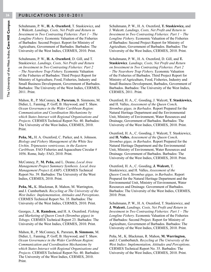Schuhmann, P. W., **H. A. Oxenford**, T. Staskiewicz, and J. Walcott. *Landings, Costs, Net Profit and Return in Investment in Two Contrasting Fisheries: Part 1 – The Longline Fishery.* Economic Valuation of the Fisheries of Barbados: Second Project. Report for Ministry of Agriculture, Government of Barbados*.* Barbados: The University of the West Indies, CERMES, 2010. Print.

Schuhmann, P. W., **H. A. Oxenford**, D. Gill, and T. Staskiewicz. *Landings, Costs, Net Profit and Return on Investment in Two Contrasting Fisheries: Part 2 – The Nearshore Trap Fishery.* Economic Valuation of the Fisheries of Barbados: Third Project Report for Ministry of Agriculture, Food, Fisheries, Industry and Small Business Development, Government of Barbados. Barbados: The University of the West Indies, CERMES, 2011. Print.

Mahon, R., P. McConney, **K. Parsram,** B. Simmons, M. Didier, L. Fanning, P. Goff, B. Haywood, and T. Shaw. *Ocean Governance in the Wider Caribbean Region: Communication and Coordination Mechanisms by which States Interact with Regional Organisations and Projects*. CERMES Technical Report No. 40. Barbados: The University of the West Indies, CERMES, 2010. Print.

**Peña, M.,** H. A. Oxenford, C. Parker, and A. Johnson. *Biology and Fishery Management of the White Sea Urchin, Tripneustes ventricosus, in the Eastern Caribbean*. FAO Fisheries and Aquaculture Circular # 1056. Rome, Italy: FAO, 2010. Print.

McConney, P., **M. Peña,** and L. Deane**.** *Local Area Management Project Summary Synthesis. Local Area Management Project (LAMP)*. CERMES Technical Report No. 39. Barbados: The University of the West Indies, CERMES, 2010. Print.

**Peña, M.,** K. Blackman, R. Mahon, M. Warrington, and J. Cumberbatch. *Recycling at The University of the West Indies: Implementation, Attitudes and Perceptions*. CERMES Technical Report No. 35. Barbados: The University of the West Indies, CERMES, 2010. Print.

Georges, J., **R. Ramdeen,** and H. A. Oxenford. *Fishing and Marketing of Queen Conch (Strombus gigas) in Tobago*. CERMES Technical Report 23. Barbados: The University of the West Indies, CERMES, 2010. Print.

Mahon, R., P. McConney, K. Parsram, **B. Simmons**, M. Didier, L. Fanning, P. Goff, B. Haywood, and T. Shaw. *Ocean Governance in ihe Wider Caribbean Region: Communication and Coordination Mechanisms by which States Interact with Regional Organisations and Projects*. CERMES Technical Report No. 40. Barbados: The University of the West Indies, CERMES, 2010. Print.

Schuhmann, P. W., H. A. Oxenford, **T. Staskiewicz,** and J. Walcott. *Landings, Costs, Net Profit and Return in Investment in Two Contrasting Fisheries: Part 1 – The Longline Fishery.* Economic Valuation of the Fisheries of Barbados: Second Project Report for Ministry of Agriculture, Government of Barbados. Barbados: The University of the West Indies, CERMES, 2010. Print.

Schuhmann, P. W., H. A. Oxenford, D. Gill, and **T. Staskiewicz**. *Landings, Costs, Net Profit and Return on Investment in Two Contrasting Fisheries. Part 2 – The Nearshore Trap Fishery.* Economic Valuation of the Fisheries of Barbados. Third Project Report for Ministry of Agriculture, Food, Fisheries, Industry and Small Business Development, Barbados, Government of Barbados. Barbados: The University of the West Indies, CERMES, 2011. Print.

Oxenford, H. A., C. Gooding, J. Walcott, **T. Staskiewicz,**  and H. Valles**.** *Assessment of the Queen Conch, Strombus gigas, in Barbados.* Report Prepared for the Natural Heritage Department and the Environmental Unit, Ministry of Environment, Water Resources and Drainage, Government of Barbados. Barbados: The University of the West Indies, CERMES, 2010. Print.

Oxenford, H. A., C. Gooding, J. Walcott, T. Staskiewicz, and **H. Valles.** *Assessment of the Queen Conch, Strombus gigas, in Barbados.* Report Prepared for the Natural Heritage Department and the Environmental Unit, Ministry of Environment, Water Resources and Drainage. Government of Barbados. Barbados: The University of the West Indies, CERMES, 2010. Print.

Oxenford, H. A., C. Gooding, **J. Walcott,** T. Staskiewicz, and H. Valles**.** *Assessment of the Queen Conch, Strombus gigas, in Barbados*. Report Prepared for the Natural Heritage Department and the Environmental Unit, Ministry of Environment, Water Resources and Drainage. Government of Barbados. Barbados: The University of the West Indies, CERMES, 2010. Print.

Schuhmann, P. W., H. A. Oxenford, T. Staskiewicz, and **J. Walcott.** *Landings, Costs, Net Profit and Return in Investment in Two Contrasting Fisheries: Part 1 – The Longline Fishery.* Economic Valuation of the Fisheries of Barbados: Second Project. Report for Ministry of Agriculture, Government of Barbados*.* Barbados: The University of the West Indies, CERMES, 2010. Print.

Peña, M., K. Blackman, R. Mahon, **M. Warrington,**  and J. Cumberbatch. *Recycling at The University of the West Indies: Implementation, Attitudes and Perceptions*. CERMES Technical Report No. 35. Barbados: The University of the West Indies, CERMES, 2010. Print.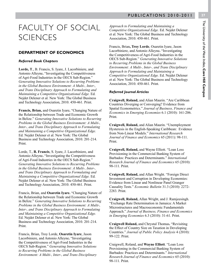## FACULTY OF SOCIAL **SCIENCES**

#### **DEPARTMENT OF ECONOMICS**

#### *Referred Book Chapters*

**Lorde, T**., B. Francis, S. Iyare, J. Lacorbiniere, and Antonio Alleyne**.** "Investigating the Competitiveness of Agri-Food Industries in the OECS Sub-Region." *Generating Innovative Solutions to Recurring Problems in the Global Business Environment: A Multi-, Inter-, and Trans Disciplinary Approach to Formulating and Maintaining a Competitive Organizational Edge.* Ed. Nejdet Delener et al. New York: The Global Business and Technology Association, 2010. 450-461. Print.

**Francis, Brian,** and Osaretin Iyare**.** "Changing Nature of the Relationship between Trade and Economic Growth in Belize." *Generating Innovative Solutions to Recurring Problems in the Global Business Environment: A Multi-, Inter-, and Trans Disciplinary Approach to Formulating and Maintaining a Competitive Organizational Edge.* Ed. Nejdet Delener et al. New York: The Global Business and Technology Association, 2010. 201-214. Print.

Lorde, T., **B. Francis**, S. Iyare, J. Lacorbiniere, and Antonio Alleyne**.** "Investigating the Competitiveness of Agri-Food Industries in the OECS Sub-Region." *Generating Innovative Solutions to Recurring Problems in the Global Business Environment: A Multi-, Inter-, and Trans Disciplinary Approach to Formulating and Maintaining a Competitive Organizational Edge.* Ed. Nejdet Delener et al. New York: The Global Business and Technology Association, 2010. 450-461. Print.

Francis, Brian, and **Osaretin Iyare.** "Changing Nature of the Relationship between Trade and Economic Growth in Belize." *Generating Innovative Solutions to Recurring Problems in the Global Business Environment: A Multi-, Inter-, and Trans Disciplinary Approach to Formulating and Maintaining a Competitive Organizational Edge.* Ed. Nejdet Delener et al. New York: The Global Business and Technology Association, 2010. 201-214. Print.

Francis, Brian, Troy Lorde, **Osaretin Iyare**, Jason Lacorbiniere, and Antonio Alleyne**.** "Investigating the Competitiveness of Agri-Food Industries in the OECS Sub-Region." *Generating Innovative Solutions to Recurring Problems in the Global Business Environment: A Multi-, Inter-, and Trans Disciplinary*  *Approach to Formulating and Maintaining a Competitive Organizational Edge.* Ed. Nejdet Delener et al. New York: The Global Business and Technology Association, 2010. 450-461. Print.

Francis, Brian**, Troy Lorde**, Osaretin Iyare, Jason Lacorbiniere, and Antonio Alleyne**.** "Investigating the Competitiveness of Agri-Food Industries in the OECS Sub-Region." *Generating Innovative Solutions to Recurring Problems in the Global Business Environment: A Multi-, Inter-, and Trans Disciplinary Approach to Formulating and Maintaining a Competitive Organizational Edge.* Ed. Nejdet Delener et al. New York: The Global Business and Technology Association, 2010. 450-461. Print.

#### *Referred Journal Articles*

**Craigwell, Roland,** and Alian Maurin. "Are Caribbean Countries Diverging or Converging? Evidence from Spatial Econometrics." *Journal of Business, Finance and Economics in Emerging Economies* 6.1 (2010): 161-206. Print.

**Craigwell, Roland,** and Alian Maurin. "Unemployment Hysteresis in the English-Speaking Caribbean: Evidence from Non-Linear Models." *International Research Journal of Finance and Economics* 65 (2011): 98-111. Print.

**Craigwell, Roland,** and Wayne Elliott. "Loan Loss Provisioning in the Commercial Banking System of Barbados: Practices and Determinants." *International Research Journal of Finance and Economics* 65 (2010): 98-111. Print.

**Craigwell, Roland,** and Allan Wright. "Foreign Direct Investment and Corruption in Developing Economies: Evidence from Linear and Nonlinear Panel Granger Causality Tests." *Economic Bulletin* 31.3 (2010): 2272- 2283. Print.

**Craigwell, Roland,** Allan Wright, and J. Ramjeesingh. "Exchange Rate Determination in Jamaica: A Market Microstructures and Macroeconomic Fundamentals Approach." *Journal of Business, Finance and Economics in Emerging Economies* 6.3 (2010): 31-61. Print.

**Craigwell Roland,** and Chrystal Thomas**.** "Revisiting the Effect of Country Size on Taxation in Developing Countries." *Journal of Public Policy Analysis* 4 (2010): 99-122. Print.

Craigwell, Roland, and **Wayne Elliott**. "Loan Loss Provisioning in the Commercial Banking System of Barbados: Practices and Determinants." *International Research Journal of Finance and Economics* 65 (2010): 98-111. Print.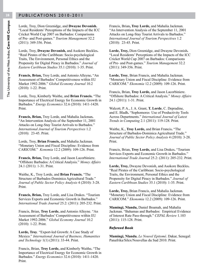Lorde, Troy, Dion Greenidge, and **Dwayne Devonish.** "Local Residents' Perceptions of the Impacts of the ICC Cricket World Cup 2007 on Barbados: Comparisons of Pre- and Post-games." *Tourism Management* 32.2 (2011): 349-356. Print.

Lorde, Troy, **Dwayne Devonish,** and Asokore Beckles**.** "Real Pirates of the Caribbean: Socio-psychological Traits, The Environment, Personal Ethics and the Propensity for Digital Piracy in Barbados." *Journal of Eastern Caribbean Studies* 35.1 (2010): 1-35. Print.

**Francis, Brian,** Troy Lorde, and Antonio Alleyne**.** "An Assessment of Barbados' Competitiveness within EU Market 1992-2006." *Global Economy Journal* 10.2 (2010): 1-22. Print.

Lorde, Troy, Kimberly Waithe, and **Brian Francis.** "The Importance of Electrical Energy for Economic Growth in Barbados." *Energy Economics* 32.6 (2010): 1411-1420. Print.

**Francis, Brian,** Troy Lorde, and Mahalia Jackman**.** "An Intervention Analysis of the September 11, 2001 Attacks on Long-Stay Tourist Arrivals to Barbados." *International Journal of Tourism Perspectives* 1.2 (2010): 23-45. Print.

Lorde, Troy, **Brian Francis,** and Mahalia Jackman. "Monetary Union and Fiscal Discipline: Evidence from CARICOM." *Konomia* 12.2 (2009): 109-126. Print.

**Francis, Brian,** Troy Lorde, and Jason Lacorbiniere. "Offshore Barbados: A Critical Analysis." *Money Affairs*  24.1 (2011): 1-31. Print.

Waithe, K., Troy Lorde, and **Brian Francis.** "The Structure of Barbados-Dominica Agricultural Trade." *Journal of Public Sector Policy Analysis* 4 (2010): 3-28. Print.

**Francis, Brian,** Troy Lorde, and Lisa Drakes. "Tourism Services Exports and Economic Growth in Barbados." *International Trade Journal* 25.2: (2011): 205-232. Print.

Francis, Brian, **Troy Lorde,** and Antonio Alleyne. "An Assessment of Barbados' Competitiveness within EU Market 1992-2006." *Global Economy Journal* 10.2 (2010): 1-22. Print.

**Lorde, Troy**. "Export-led Growth: A Case Study of Mexico." *International Journal of Business, Humanities and Technology* 1(1) (2011): 33-44. Print.

Francis, Brian, **Troy Lorde,** and Kimberly Waithe**.** "The Importance of Electrical Energy for Economic Growth in Barbados." *Energy Economics* 32.6 (2010): 1411-1420. Print.

Francis, Brian**, Troy Lorde,** and Mahalia Jackman. "An Intervention Analysis of the September 11, 2001 Attacks on Long-Stay Tourist Arrivals to Barbados." *International Journal of Tourism Perspectives* 1.2 (2010): 23-45. Print.

**Lorde, Troy,** Dion Greenidge, and Dwayne Devonish**.** "Local Residents' Perceptions of the Impacts of the ICC Cricket World Cup 2007 on Barbados: Comparisons of Pre- and Post-games." *Tourism Management* 32.2 (2011): 349-356. Print.

**Lorde, Troy**, Brian Francis, and Mahalia Jackman. "Monetary Union and Fiscal Discipline: Evidence from CARICOM." *Ekonomia* 12.2 (2009): 109-126. Print.

Francis, Brian, **Troy Lorde,** and Jason Lacorbiniere. "Offshore Barbados: A Critical Analysis." *Money Affairs*  24.1 (2011): 1-31. Print.

Walcott, P. A., J. A. Grant, **T. Lorde**, C. Depradine, and E. Bladh**.** "Sophomores Use of Productivity Tools Across Departments." *International Journal of Latest Trends in Computing* 2.1 (2011): 119-128. Print.

Waithe, K., **Troy Lorde,** and Brian Francis**.** "The Structure of Barbados-Dominica Agricultural Trade." *Journal of Public Sector Policy Analysis* 4 (2010): 3-28. Print.

Francis, Brian, **Troy Lorde,** and Lisa Drakes**.** "Tourism Services Exports and Economic Growth in Barbados." *International Trade Journal* 25.2: (2011): 205-232. Print.

**Lorde, Troy,** Dwayne Devonish, and Asokore Beckles**.** "Real Pirates of the Caribbean: Socio-psychological Traits, the Environment, Personal Ethics and the Propensity for Digital Piracy in Barbados." *Journal of Eastern Caribbean Studies* 35.1 (2010): 1-35. Print.

**Lorde, Troy,** Brian Francis, and Mahalia Jackman. "Monetary Union and Fiscal Discipline: Evidence from CARICOM." *Ekonomia* 12.2 (2009): 109-126. Print.

**Mamingi, Nlandu,** Daniel Boamah, and Mahalia Jackman. "Bahamas and Barbados: Empirical Evidence of Interest Rate Pass-through." *CEPAL Review* 1.103 (2011): 115-128. Print.

#### *Refereed Book*

**Mamingi, Nlandu.** *Le Nouvel Epitomé*. Dakar, Senegal: Panafrika/Silex/Nouvellas du Sud 2010. Print.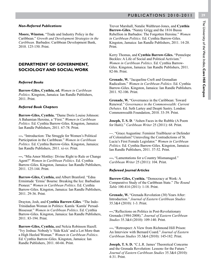## The University of the West Indies, Cave Hill Campus The University of the West Indies, **Cave Hill Campus**

#### *Non-Referred Publications*

**Moore, Winston.** "Trade and Industry Policy in the Caribbean." *Growth and Development Strategies in the Caribbean.* Barbados: Caribbean Development Bank, 2010. 125-150. Print.

#### **DEPARTMENT OF GOVERNMENT, SOCIOLOGY AND SOCIAL WORK**

#### *Referred Books*

**Barrow-Giles, Cynthia, ed.** *Women in Caribbean Politics*. Kingston, Jamaica: Ian Randle Publishers, 2011. Print.

#### *Referred Book Chapters*

**Barrow-Giles, Cynthia.** "Dame Doris Louise Johnson: A Bahamian Heroine, a "First." *Women in Caribbean Politics.* Ed. Cynthia Barrow-Giles. Kingston, Jamaica: Ian Randle Publishers, 2011. 67-78. Print.

**---.** "Introduction: The Struggle for Women's Political Participation in the Caribbean." *Women in Caribbean Politics.* Ed. Cynthia Barrow-Giles. Kingston, Jamaica: Ian Randle Publishers, 2011. xi-xv. Print.

**---.** "Mia Amor Mottley: Divine Right to Rule or Change Agent?" *Women in Caribbean Politics*. Ed. Cynthia Barrow-Giles. Kingston, Jamaica: Ian Randle Publishers, 2011. 125-144. Print.

**Barrow-Giles, Cynthia,** and Albert Branford. "Edna Ermintude 'Ermie' Bourne: Breaking the Ice: Barbadian Pioneer." *Women in Caribbean Politics*. Ed. Cynthia Barrow-Giles. Kingston, Jamaica: Ian Randle Publishers, 2011. 29-36. Print.

Drayton, Josh, and **Cynthia Barrow-Giles**. "The Indo-Trinidadian Woman in Politics: Kamla 'Kamla' Persad-Bissessar." *Women in Caribbean Politics*. Ed. Cynthia Barrow-Giles. Kingston, Jamaica: Ian Randle Publishers, 2011. 83-194. Print.

**Barrow-Giles, Cynthia,** and Nelcia Robinson Hazell. "Ivy Joshua: Nobody's 'Side Kick' and a Lot More than a High Heeled Woman." *Women in Caribbean Politics*. Ed. Cynthia Barrow-Giles. Kingston, Jamaica: Ian Randle Publishers, 2011. 60-66. Print.

Trevor Marshall, Natalie Walthrust-Jones, and **Cynthia Barrow-Giles.** "Nanny Grigg and the 1816 Bussa Rebellion in Barbados: The Forgotten Heroine." *Women in Caribbean Politics.* Ed. Cynthia Barrow-Giles. Kingston, Jamaica: Ian Randle Publishers, 2011. 14-20. Print.

Kerry Thomas, and **Cynthia Barrow-Giles.** "Pennelope Beckles: A Life of Social and Political Activism." *Women in Caribbean Politics*. Ed. Cynthia Barrow-Giles. Kingston, Jamaica: Ian Randle Publishers, 2011. 82-86. Print.

**Grenade, W.** "Jacqueline Creft and Grenadian Radicalism." *Women in Caribbean Politics*. Ed. Cynthia Barrow-Giles. Kingston, Jamaica: Ian Randle Publishers. 2011. 92-106. Print.

**Grenade, W.** "Governance in the Caribbean: Toward Renewal." *Governance in the Commonwealth: Current Debates.* Ed. Seth Lartey and Deepti Sastry. London: Commonwealth Foundation, 2010. 33-39. Print.

**Joseph, T. S. D**. "Ashen Faces in the Rubble (A Poem for Haiti)." *Caribbean Writer* 25 (2011): 68. Print.

---. "Grace Augustine: Feminist Trailblazer or Defender of Colonialism? Unraveling the Contradictions of St. Lucia's First Female Legislator." *Women in Caribbean Politics.* Ed. Cynthia Barrow-Giles. Kingston, Jamaica: Ian Randle Publishers, 2011. 37-52. Print.

**---.** "Lamentations for a Country Mismanaged." *Caribbean Writer* 25 (2011): 104. Print.

#### *Refereed Journal Articles*

**Barrow-Giles, Cynthia.** "Democracy at Work: A Comparative Study of the Caribbean State." *The Round Table* 100.414 (2011): 1-18. Print.

**Grenade, W.** "Grenada Revolution (30) Years After: Introduction." *Journal of Eastern Caribbean Studies* 35.3&4 (2010): 1-3. Print.

**---.**"Reflections on Politics in Post-Revolutionary Grenada (1984-2008)." *Journal of Eastern Caribbean Studies* 35.3&4 (2010): 109-140. Print.

**---.** "Retrospect: A View from Richmond Hill Prison: An Interview with Bernard Coard." *Journal of Eastern Caribbean Studies* 35.3&4 (2010): 145**-**182. Print.

**Joseph, T. S. D.** "C.L.R. James' Theoretical Concerns and the Grenada Revolution: Lesson*s* for the Future." *Journal of Eastern Caribbean Studies* 35.3&4 (2010): 4-31. Print.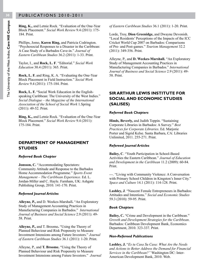**Ring, K.,** and Letnie Rock. "Evaluation of the One-Year Block Placement." *Social Work Review* 9.4 (2011): 175- 184. Print.

Phillips, Jomo, **Karen Ring,** and Patricia Codrington. "Psychosocial Responses to a Disaster in the Caribbean: A Case Study of a Barbados Cave-in." *Journal of Eastern Caribbean Studies* 36.2 (2011): 1-33. Print.

Taylor, I., and **Rock, L. F**. "Editorial." *Social Work Education* 30.4 (2011): 365. Print.

**Rock, L. F.** and Ring, K. A. "Evaluating the One-Year Block Placement in Field Instruction." *Social Work Review* 9.4 (2011): 175-184. Print.

**Rock, L. F.** "Social Work Education in the Englishspeaking Caribbean: The University of the West Indies." *Social Dialogue ‒ the Magazine of the International Association of the School of Social Work* 1.Spring (2011): 49-52. Print.

**Ring, K.,** and Letnie Rock. "Evaluation of the One-Year Block Placement." *Social Work Review* 9.4 (2011): 175-184. Print.

#### **DEPARTMENT OF MANAGEMENT STUDIES**

#### *Referred Book Chapter*

**Jonsson, C.** "Accommodating Spectators: Community Attitude and Response to the Barbados Home Accommodation Programme." *Sports Event Management – The Caribbean Experience.* Ed. L. Jordan-Miller and C. Hayle. Farnham, UK: Ashgate Publishing Group, 2010. 141-170. Print.

#### *Refereed Journal Articles*

**Alleyne, P.,** and D. Weekes-Marshall**.** "An Exploratory Study of Management Accounting Practices in Manufacturing Companies in Barbados." *International Journal of Business and Social Science* 2.9 (2011): 49- 58. Print.

**Alleyne, P.,** and T. Broome**.** "Using the Theory of Planned Behaviour and Risk Propensity to Measure Investment Intensions among Future Investors." *Journal of Eastern Caribbean Studies* 36.1 (2011): 1-20. Print.

Alleyne, P., and **T. Broome.** "Using the Theory of Planned Behaviour and Risk Propensity to Measure Investment Intensions among Future Investors." *Journal*  *of Eastern Caribbean Studies* 36.1 (2011): 1-20. Print.

Lorde, Troy, **Dion Greenidge,** and Dwayne Devonish. "Local Residents' Perceptions of the Impacts of the ICC Cricket World Cup 2007 on Barbados: Comparisons of Pre- and Post-games." *Tourism Management* 32.2 (2011): 349-356. Print.

Alleyne, P., and **D. Weekes-Marshall.** "An Exploratory Study of Management Accounting Practices in Manufacturing Companies in Barbados." *International Journal of Business and Social Science* 2.9 (2011): 49- 58. Print.

#### **SIR ARTHUR LEWIS INSTITUTE FOR SOCIAL AND ECONOMIC STUDIES (SALISES)**

#### *Referred Book Chapters*

**Hinds, Beverly,** and Judith Toppin. "Sustaining Corporate Libraries in Barbados: A Survey." *Best Practices for Corporate Libraries*. Ed. Marjorie Porter and Sigrid Kelse. Santa Barbara, CA: Libraries Unlimited, 2011. 255-271. Print.

#### *Refereed Journal Articles*

**Bailey, C**. "Youth Participation in School-Based Activities the Eastern Caribbean." *Journal of Education and Development in the Caribbean* 11.2 (2009): 60-84. Print.

*---*. "Living with Community Violence: A Conversation with Primary School Children in Kingston's Inner City." *Space and Culture* 14.1 (2011): 114-128. Print.

**Lashley, J**. "Nascent Female Entrepreneurs in Barbados: Attitudes and Intentions." *Social and Economic Studies* 59.3 (2010): 59-95. Print.

#### *Book Chapters*

**Bailey, C.** "Crime and Development in the Caribbean." *Growth and Development Strategies for the Caribbean*. Barbados: Caribbean Development Bank, Economics Department, 2010. 323-337. Print.

#### *Non-Refereed Publications*

**Lashley, J.** "*Es tu Casa Su Casa: What Are the Needs and Actions to Better Address the Demand for Financial Services in the Caribbean?"* Washington DC: Inter-American Development Bank, 2010. Web.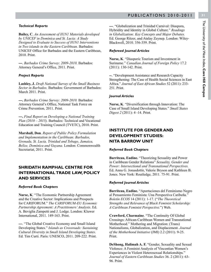#### *Technical Reports*

**Bailey, C**. *An Assessment of H1N1 Materials developed by UNICEF in Dominica and St. Lucia: A Study Designed to Evaluate to Success of H1N1 Interventions in Two islands in the Eastern Caribbean.* Barbados: UNICEF Office for Barbados and the Eastern Caribbean, 2010. Print.

**---**. *Barbados Crime Survey: 2009-2010*. Barbados: Attorney General's Office, 2011. Print.

#### *Project Reports*

**Lashley, J.** *Draft National Survey of the Small Business Sector in Barbados.* Barbados: Government of Barbados: March 2011. Print.

**---.** *Barbados Crime Survey: 2009-2010.* Barbados: Attorney General's Office, National Task Force on Crime Prevention*,* 2011. Print.

**---.** *Final Report on Developing a National Training Plan (2010 – 2015).* Barbados: Technical and Vocational Education and Training Council (TVETC), 2010. Print.

**Marshall, Don**. *Report of Public Policy Formulation and Implementation in the Caribbean: Barbados, Grenada, St. Lucia, Trinidad and Tobago, Jamaica, Belize, Dominica and Guyana.* London: Commonwealth Secretariat, 2011. Print.

#### **SHRIDATH RAMPHAL CENTRE FOR INTERNATIONAL TRADE LAW, POLICY AND SERVICES**

#### *Referred Book Chapters*

**Nurse, K**. "The Economic Partnership Agreement and the Creative Sector: Implications and Prospects for CARIFORUM." *The CARIFORUM-EU Economic Partnership Agreement: A Practitioners' Analysis*. Ed. A. Beviglia Zampetti and J. Lodge. London: Kluwer International, 2011. 149-163. Print.

**---**. "The Global Creative Economy and Small Island Developing States." *Islands as Crossroads: Sustaining Cultural Diversity in Small Island Developing States*. Ed. Tim Curti. Paris: UNESCO, 2011. 209-222. Print.

**---**. "Globalization and Trinidad Carnival: Diaspora, Hybridity and Identity in Global Culture." *Readings in Globalization: Key Concepts and Major Debates.* Ed. George Ritzer, and Atalay Zeynep. London: Wiley-Blackwell, 2010. 356-359. Print.

#### *Refereed Journal Articles*

**Nurse, K**. "Diasporic Tourism and Investment in Suriname." *Canadian Journal of Foreign Policy* 17.2 (2011): 130-142. Print.

**--**. "Development Assistance and Research Capacity Strengthening: The Case of Health Social Sciences in East Africa." *Journal of East African Studies* 52 (2011): 233- 251. Print.

#### *Journal Articles*

**Nurse, K**. "Diversification through Innovation: The Case of Small Island Developing States." *Small States Digest 2* (2011): 4 -14. Print.

#### **INSTITUTE FOR GENDER AND DEVELOPMENT STUDIES: NITA BARROW UNIT**

#### *Referred Book Chapters*

**Barriteau, Eudine.** "Theorizing Sexuality and Power in Caribbean Gender Relations" *Sexuality, Gender and Power: Intersectional and Transnational Perspectives.*  Ed. Anna G. Jonasdottir, Valerie Bryson and Kathleen B. Jones. New York: Routledge, 2011. 75-91. Print.

#### *Referred Journal Articles*

**Barriteau, Eudine.** "Aportaciones del Feminismo Negro al Pensamiento Feminista: Una Perspectiva Caribeña." *Boletín ECOS* 14 (2011): 1-17. ("*The Theoretical Strengths and Relevance of Black Feminist Scholarship: A Caribbean Feminist Perspective.*") Web.

**Crawford, Charmaine**. "The Continuity Of Global Crossings: African-Caribbean Women and Transnational Motherhood." Mothering and Migration: (Trans) Nationalisms, Globalization, and Displacement. *Journal of the Motherhood Initiative* (JMI) 2.2 (2011). 9-25. Print.

**DeShong, Halimah A. F.** "Gender, Sexuality and Sexual Violence: A Feminist Analysis of Vincentian Women's Experiences in Violent Heterosexual Relationships." *Journal of Eastern Caribbean Studies* 36. 2 (2011): 63- 96. Print.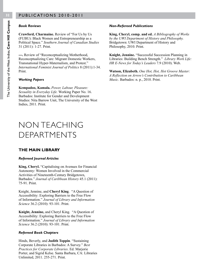#### *Book Reviews*

**Crawford, Charmaine.** Review of "For Us by Us (FUBU): Black Women and Entrepreneurship as a Political Space." *Southern Journal of Canadian Studies* 31 (2011): 1-27. Print.

**---.** Review of "Reconceptualizing Motherhood, Reconceptualizing Care: Migrant Domestic Workers, Transnational Hyper-Maternalism, and Protest." *International Feminist Journal of Politics* 8 (2011):1-34. Print.

#### *Working Papers*

**Kempadoo, Kamala.** *Power, Labour, Pleasure: Sexuality in Everyday Life.* Working Paper No. 16. Barbados: Institute for Gender and Development Studies: Nita Barrow Unit, The University of the West Indies, 2011. Print.

## NON TEACHING DEPARTMENTS

#### **THE MAIN LIBRARY**

#### *Refereed Journal Articles*

**King, Cheryl.** "Capitalising on Avenues for Financial Autonomy: Women Involved in the Commercial Activities of Nineteenth-Century Bridgetown, Barbados." *Journal of Caribbean History* 45.1 (2011): 75-91. Print.

Knight, Jennine, and **Cheryl King**. "A Question of Accessibility: Exploring Barriers to the Free Flow of Information." *Journal of Library and Information Science* 36.2 (2010): 93-101. Print.

**Knight, Jennine,** and Cheryl King. "A Question of Accessibility: Exploring Barriers to the Free Flow of Information." *Journal of Library and Information Science* 36.2 (2010): 93-101. Print.

#### *Refereed Book Chapters*

Hinds, Beverly, and **Judith Toppin**. "Sustaining Corporate Libraries in Barbados: A Survey." *Best Practices for Corporate Libraries*. Ed. Marjorie Porter, and Sigrid Kelse. Santa Barbara, CA: Libraries Unlimited, 2011. 255-271. Print.

#### *Non-Refereed Publications*

**King, Cheryl, comp. and ed.** *A Bibliography of Works by the UWI Department of History and Philosophy.* Bridgetown: UWI Department of History and Philosophy, 2010. Print.

**Knight, Jennine.** "Successful Succession Planning in Libraries: Building Bench Strength." *Library Work Life: HR E-News for Today's Leaders* 7.9 (2010). Web.

**Watson, Elizabeth.** *One Hot, Hot, Hot Groove Master: A Reflection on Arrow's Contribution to Caribbean Music*. Barbados: n. p., 2010. Print.